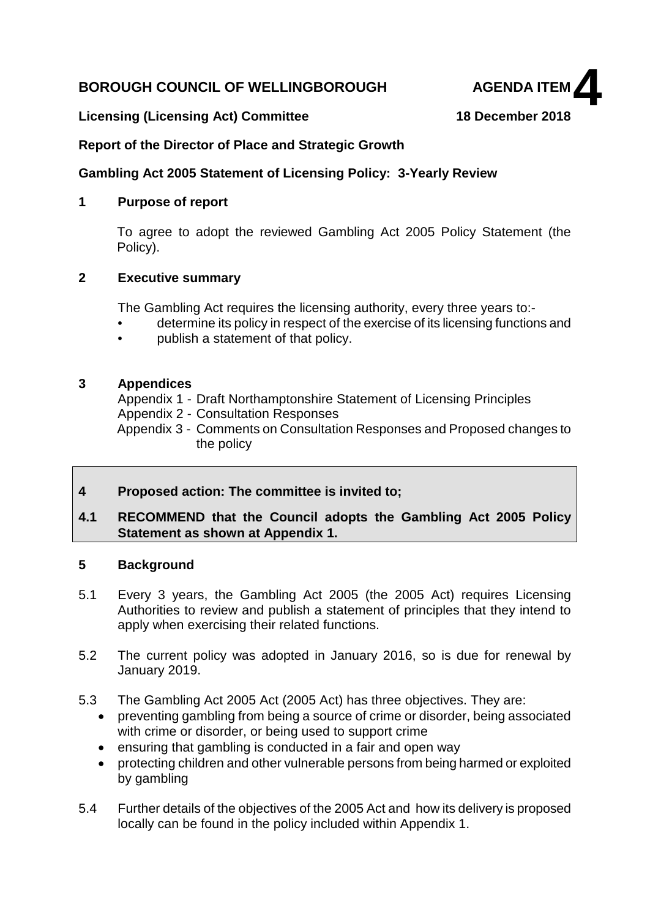## **BOROUGH COUNCIL OF WELLINGBOROUGH AGENDA ITEM**



#### **Licensing (Licensing Act) Committee 18 December 2018**

#### **Report of the Director of Place and Strategic Growth**

#### **Gambling Act 2005 Statement of Licensing Policy: 3-Yearly Review**

#### **1 Purpose of report**

To agree to adopt the reviewed Gambling Act 2005 Policy Statement (the Policy).

#### **2 Executive summary**

The Gambling Act requires the licensing authority, every three years to:-

- determine its policy in respect of the exercise of its licensing functions and
- publish a statement of that policy.

#### **3 Appendices**

Appendix 1 - Draft Northamptonshire Statement of Licensing Principles

Appendix 2 - Consultation Responses

Appendix 3 - Comments on Consultation Responses and Proposed changes to the policy

#### **4 Proposed action: The committee is invited to;**

#### **4.1 RECOMMEND that the Council adopts the Gambling Act 2005 Policy Statement as shown at Appendix 1.**

#### **5 Background**

- 5.1 Every 3 years, the Gambling Act 2005 (the 2005 Act) requires Licensing Authorities to review and publish a statement of principles that they intend to apply when exercising their related functions.
- 5.2 The current policy was adopted in January 2016, so is due for renewal by January 2019.
- 5.3 The Gambling Act 2005 Act (2005 Act) has three objectives. They are:
	- preventing gambling from being a source of crime or disorder, being associated with crime or disorder, or being used to support crime
	- ensuring that gambling is conducted in a fair and open way
	- protecting children and other vulnerable persons from being harmed or exploited by gambling
- 5.4 Further details of the objectives of the 2005 Act and how its delivery is proposed locally can be found in the policy included within Appendix 1.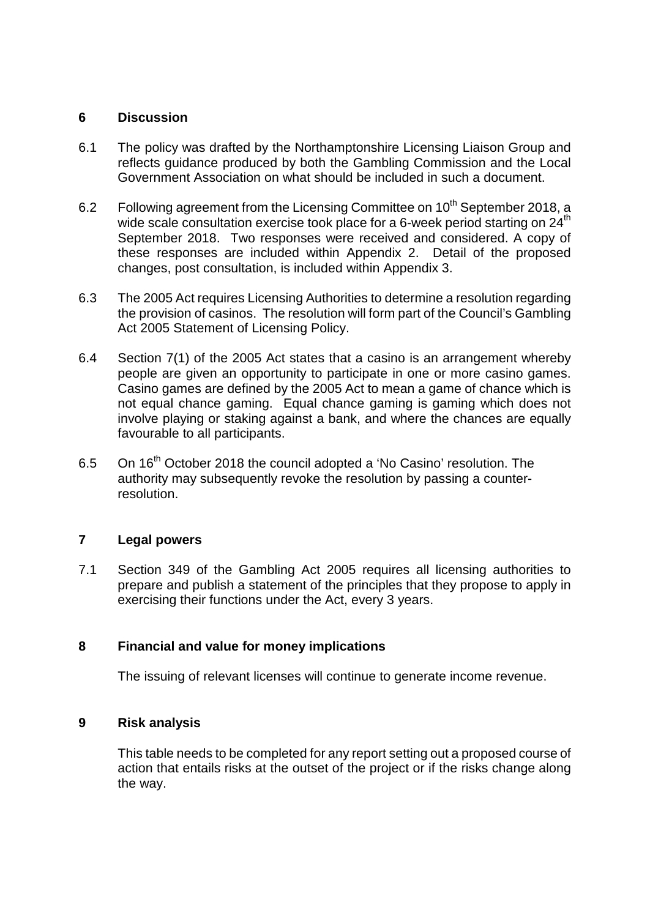#### **6 Discussion**

- 6.1 The policy was drafted by the Northamptonshire Licensing Liaison Group and reflects guidance produced by both the Gambling Commission and the Local Government Association on what should be included in such a document.
- 6.2 Following agreement from the Licensing Committee on  $10^{th}$  September 2018, a wide scale consultation exercise took place for a 6-week period starting on  $24<sup>th</sup>$ September 2018. Two responses were received and considered. A copy of these responses are included within Appendix 2. Detail of the proposed changes, post consultation, is included within Appendix 3.
- 6.3 The 2005 Act requires Licensing Authorities to determine a resolution regarding the provision of casinos. The resolution will form part of the Council's Gambling Act 2005 Statement of Licensing Policy.
- 6.4 Section 7(1) of the 2005 Act states that a casino is an arrangement whereby people are given an opportunity to participate in one or more casino games. Casino games are defined by the 2005 Act to mean a game of chance which is not equal chance gaming. Equal chance gaming is gaming which does not involve playing or staking against a bank, and where the chances are equally favourable to all participants.
- 6.5 On 16<sup>th</sup> October 2018 the council adopted a 'No Casino' resolution. The authority may subsequently revoke the resolution by passing a counterresolution.

### **7 Legal powers**

7.1 Section 349 of the Gambling Act 2005 requires all licensing authorities to prepare and publish a statement of the principles that they propose to apply in exercising their functions under the Act, every 3 years.

### **8 Financial and value for money implications**

The issuing of relevant licenses will continue to generate income revenue.

#### **9 Risk analysis**

This table needs to be completed for any report setting out a proposed course of action that entails risks at the outset of the project or if the risks change along the way.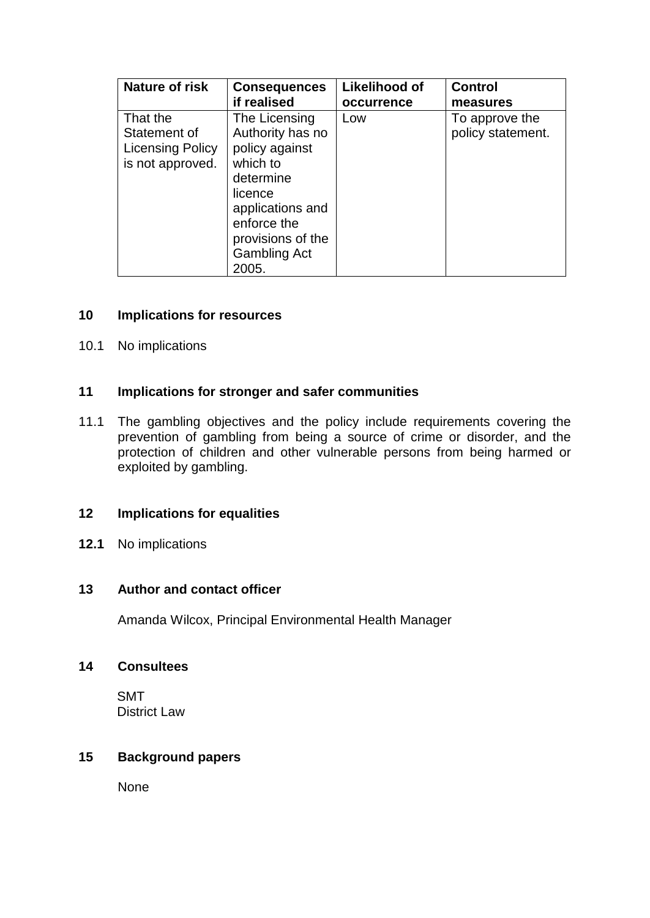| Nature of risk          | <b>Consequences</b> | <b>Likelihood of</b> | <b>Control</b>    |
|-------------------------|---------------------|----------------------|-------------------|
|                         | if realised         | occurrence           | measures          |
| That the                | The Licensing       | Low                  | To approve the    |
| Statement of            | Authority has no    |                      | policy statement. |
| <b>Licensing Policy</b> | policy against      |                      |                   |
| is not approved.        | which to            |                      |                   |
|                         | determine           |                      |                   |
|                         | licence             |                      |                   |
|                         | applications and    |                      |                   |
|                         | enforce the         |                      |                   |
|                         | provisions of the   |                      |                   |
|                         | <b>Gambling Act</b> |                      |                   |
|                         | 2005.               |                      |                   |

#### **10 Implications for resources**

10.1 No implications

#### **11 Implications for stronger and safer communities**

11.1 The gambling objectives and the policy include requirements covering the prevention of gambling from being a source of crime or disorder, and the protection of children and other vulnerable persons from being harmed or exploited by gambling.

#### **12 Implications for equalities**

**12.1** No implications

#### **13 Author and contact officer**

Amanda Wilcox, Principal Environmental Health Manager

#### **14 Consultees**

SMT District Law

#### **15 Background papers**

None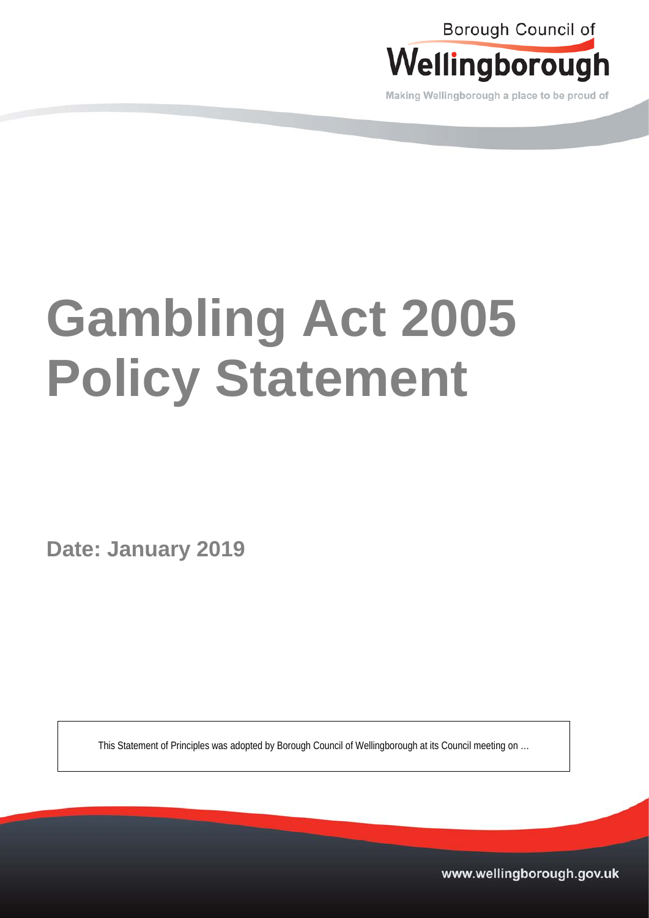

Making Wellingborough a place to be proud of

# **Gambling Act 2005 Policy Statement**

**Date: January 2019**

This Statement of Principles was adopted by Borough Council of Wellingborough at its Council meeting on …

www.wellingborough.gov.uk Tel: 01933 229777 DX 12865 www.wellingborough.gov.uk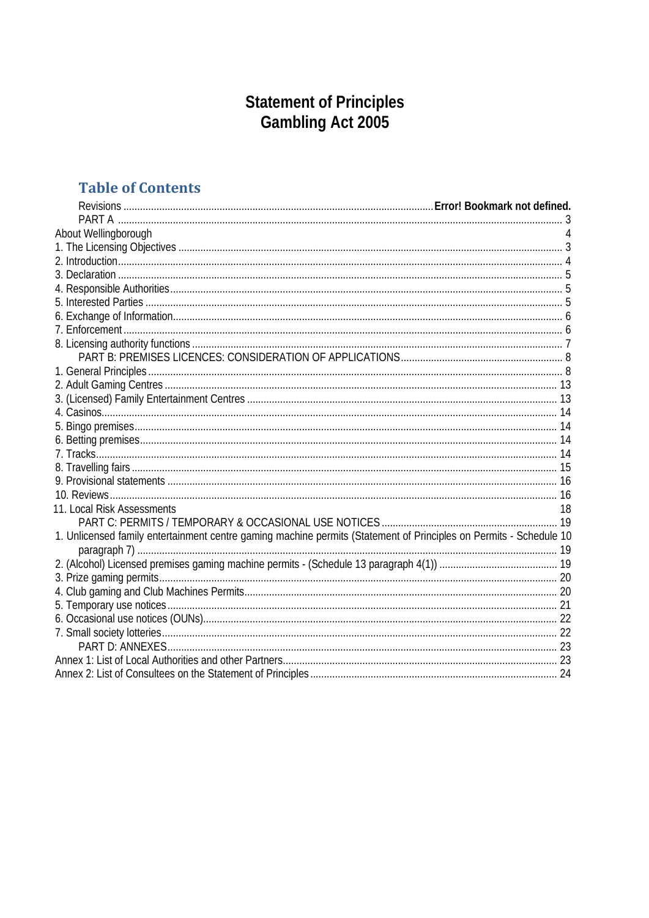## **Statement of Principles<br>Gambling Act 2005**

## **Table of Contents**

| About Wellingborough<br>11. Local Risk Assessments<br>18<br>1. Unlicensed family entertainment centre gaming machine permits (Statement of Principles on Permits - Schedule 10 |  |
|--------------------------------------------------------------------------------------------------------------------------------------------------------------------------------|--|
|                                                                                                                                                                                |  |
|                                                                                                                                                                                |  |
|                                                                                                                                                                                |  |
|                                                                                                                                                                                |  |
|                                                                                                                                                                                |  |
|                                                                                                                                                                                |  |
|                                                                                                                                                                                |  |
|                                                                                                                                                                                |  |
|                                                                                                                                                                                |  |
|                                                                                                                                                                                |  |
|                                                                                                                                                                                |  |
|                                                                                                                                                                                |  |
|                                                                                                                                                                                |  |
|                                                                                                                                                                                |  |
|                                                                                                                                                                                |  |
|                                                                                                                                                                                |  |
|                                                                                                                                                                                |  |
|                                                                                                                                                                                |  |
|                                                                                                                                                                                |  |
|                                                                                                                                                                                |  |
|                                                                                                                                                                                |  |
|                                                                                                                                                                                |  |
|                                                                                                                                                                                |  |
|                                                                                                                                                                                |  |
|                                                                                                                                                                                |  |
|                                                                                                                                                                                |  |
|                                                                                                                                                                                |  |
|                                                                                                                                                                                |  |
|                                                                                                                                                                                |  |
|                                                                                                                                                                                |  |
|                                                                                                                                                                                |  |
|                                                                                                                                                                                |  |
|                                                                                                                                                                                |  |
|                                                                                                                                                                                |  |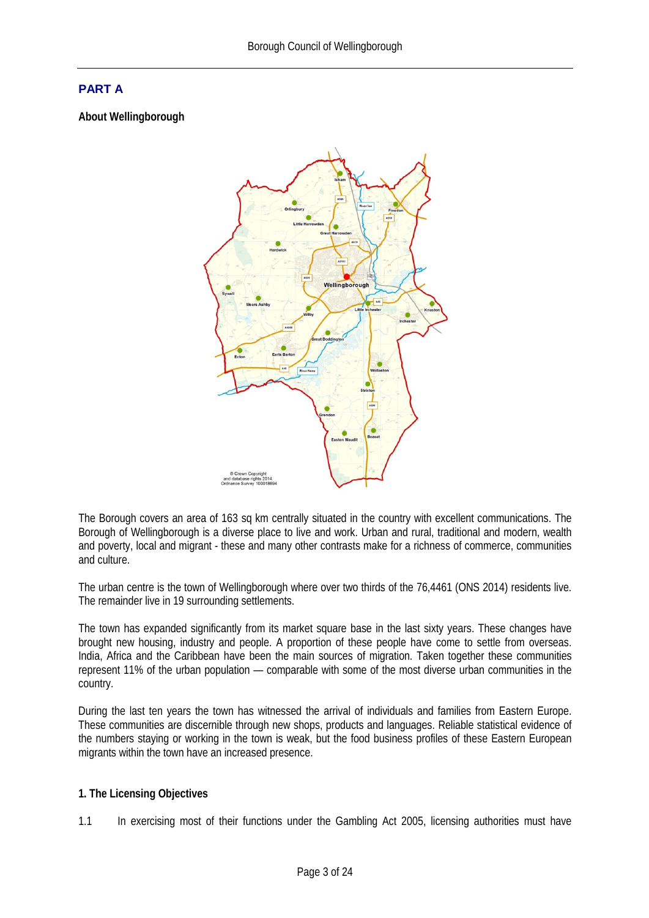#### <span id="page-6-0"></span>**PART A**

**About Wellingborough**



The Borough covers an area of 163 sq km centrally situated in the country with excellent communications. The Borough of Wellingborough is a diverse place to live and work. Urban and rural, traditional and modern, wealth and poverty, local and migrant - these and many other contrasts make for a richness of commerce, communities and culture.

The urban centre is the town of Wellingborough where over two thirds of the 76,4461 (ONS 2014) residents live. The remainder live in 19 surrounding settlements.

The town has expanded significantly from its market square base in the last sixty years. These changes have brought new housing, industry and people. A proportion of these people have come to settle from overseas. India, Africa and the Caribbean have been the main sources of migration. Taken together these communities represent 11% of the urban population — comparable with some of the most diverse urban communities in the country.

During the last ten years the town has witnessed the arrival of individuals and families from Eastern Europe. These communities are discernible through new shops, products and languages. Reliable statistical evidence of the numbers staying or working in the town is weak, but the food business profiles of these Eastern European migrants within the town have an increased presence.

#### <span id="page-6-1"></span>**1. The Licensing Objectives**

1.1 In exercising most of their functions under the Gambling Act 2005, licensing authorities must have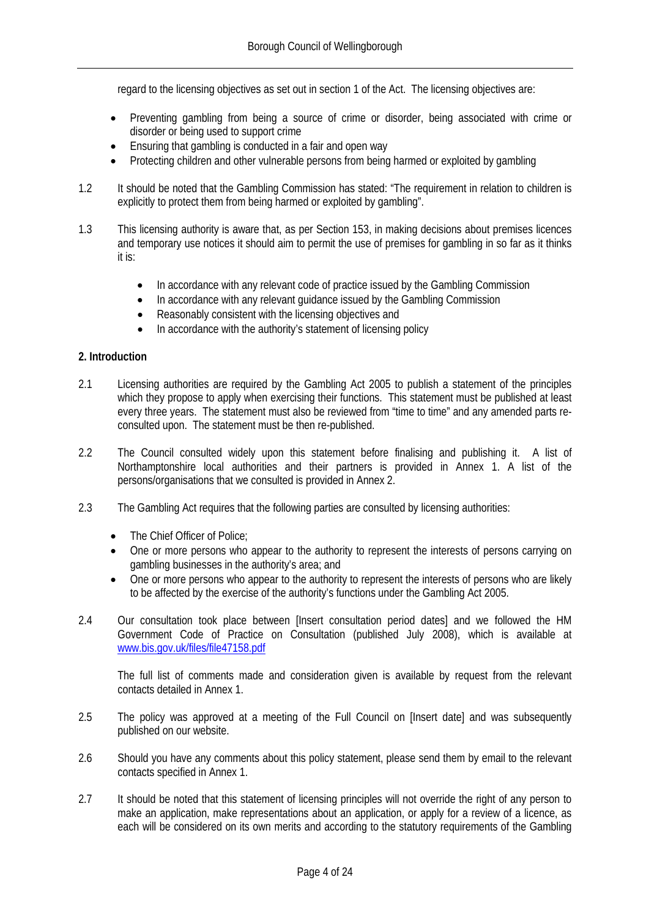regard to the licensing objectives as set out in section 1 of the Act. The licensing objectives are:

- Preventing gambling from being a source of crime or disorder, being associated with crime or disorder or being used to support crime
- Ensuring that gambling is conducted in a fair and open way
- Protecting children and other vulnerable persons from being harmed or exploited by gambling
- 1.2 It should be noted that the Gambling Commission has stated: "The requirement in relation to children is explicitly to protect them from being harmed or exploited by gambling".
- 1.3 This licensing authority is aware that, as per Section 153, in making decisions about premises licences and temporary use notices it should aim to permit the use of premises for gambling in so far as it thinks it is:
	- In accordance with any relevant code of practice issued by the Gambling Commission
	- In accordance with any relevant quidance issued by the Gambling Commission
	- Reasonably consistent with the licensing objectives and
	- In accordance with the authority's statement of licensing policy

#### <span id="page-7-0"></span>**2. Introduction**

- 2.1 Licensing authorities are required by the Gambling Act 2005 to publish a statement of the principles which they propose to apply when exercising their functions. This statement must be published at least every three years. The statement must also be reviewed from "time to time" and any amended parts reconsulted upon. The statement must be then re-published.
- 2.2 The Council consulted widely upon this statement before finalising and publishing it. A list of Northamptonshire local authorities and their partners is provided in Annex 1. A list of the persons/organisations that we consulted is provided in Annex 2.
- 2.3 The Gambling Act requires that the following parties are consulted by licensing authorities:
	- The Chief Officer of Police;
	- One or more persons who appear to the authority to represent the interests of persons carrying on gambling businesses in the authority's area; and
	- One or more persons who appear to the authority to represent the interests of persons who are likely to be affected by the exercise of the authority's functions under the Gambling Act 2005.
- 2.4 Our consultation took place between [Insert consultation period dates] and we followed the HM Government Code of Practice on Consultation (published July 2008), which is available at [www.bis.gov.uk/files/file47158.pdf](http://www.bis.gov.uk/files/file47158.pdf)

The full list of comments made and consideration given is available by request from the relevant contacts detailed in Annex 1.

- 2.5 The policy was approved at a meeting of the Full Council on [Insert date] and was subsequently published on our website.
- 2.6 Should you have any comments about this policy statement, please send them by email to the relevant contacts specified in Annex 1.
- 2.7 It should be noted that this statement of licensing principles will not override the right of any person to make an application, make representations about an application, or apply for a review of a licence, as each will be considered on its own merits and according to the statutory requirements of the Gambling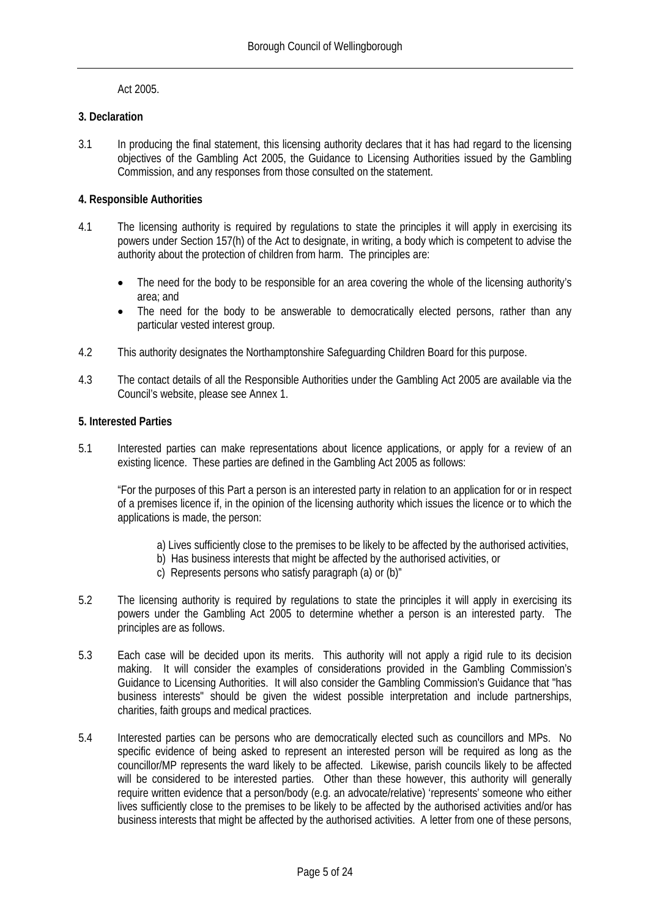#### Act 2005.

#### <span id="page-8-0"></span>**3. Declaration**

3.1 In producing the final statement, this licensing authority declares that it has had regard to the licensing objectives of the Gambling Act 2005, the Guidance to Licensing Authorities issued by the Gambling Commission, and any responses from those consulted on the statement.

#### <span id="page-8-1"></span>**4. Responsible Authorities**

- 4.1 The licensing authority is required by regulations to state the principles it will apply in exercising its powers under Section 157(h) of the Act to designate, in writing, a body which is competent to advise the authority about the protection of children from harm. The principles are:
	- The need for the body to be responsible for an area covering the whole of the licensing authority's area; and
	- The need for the body to be answerable to democratically elected persons, rather than any particular vested interest group.
- 4.2 This authority designates the Northamptonshire Safeguarding Children Board for this purpose.
- 4.3 The contact details of all the Responsible Authorities under the Gambling Act 2005 are available via the Council's website, please see Annex 1.

#### <span id="page-8-2"></span>**5. Interested Parties**

5.1 Interested parties can make representations about licence applications, or apply for a review of an existing licence. These parties are defined in the Gambling Act 2005 as follows:

"For the purposes of this Part a person is an interested party in relation to an application for or in respect of a premises licence if, in the opinion of the licensing authority which issues the licence or to which the applications is made, the person:

- a) Lives sufficiently close to the premises to be likely to be affected by the authorised activities,
- b) Has business interests that might be affected by the authorised activities, or
- c) Represents persons who satisfy paragraph (a) or (b)"
- 5.2 The licensing authority is required by regulations to state the principles it will apply in exercising its powers under the Gambling Act 2005 to determine whether a person is an interested party. The principles are as follows.
- 5.3 Each case will be decided upon its merits. This authority will not apply a rigid rule to its decision making. It will consider the examples of considerations provided in the Gambling Commission's Guidance to Licensing Authorities. It will also consider the Gambling Commission's Guidance that "has business interests" should be given the widest possible interpretation and include partnerships, charities, faith groups and medical practices.
- 5.4 Interested parties can be persons who are democratically elected such as councillors and MPs. No specific evidence of being asked to represent an interested person will be required as long as the councillor/MP represents the ward likely to be affected. Likewise, parish councils likely to be affected will be considered to be interested parties. Other than these however, this authority will generally require written evidence that a person/body (e.g. an advocate/relative) 'represents' someone who either lives sufficiently close to the premises to be likely to be affected by the authorised activities and/or has business interests that might be affected by the authorised activities. A letter from one of these persons,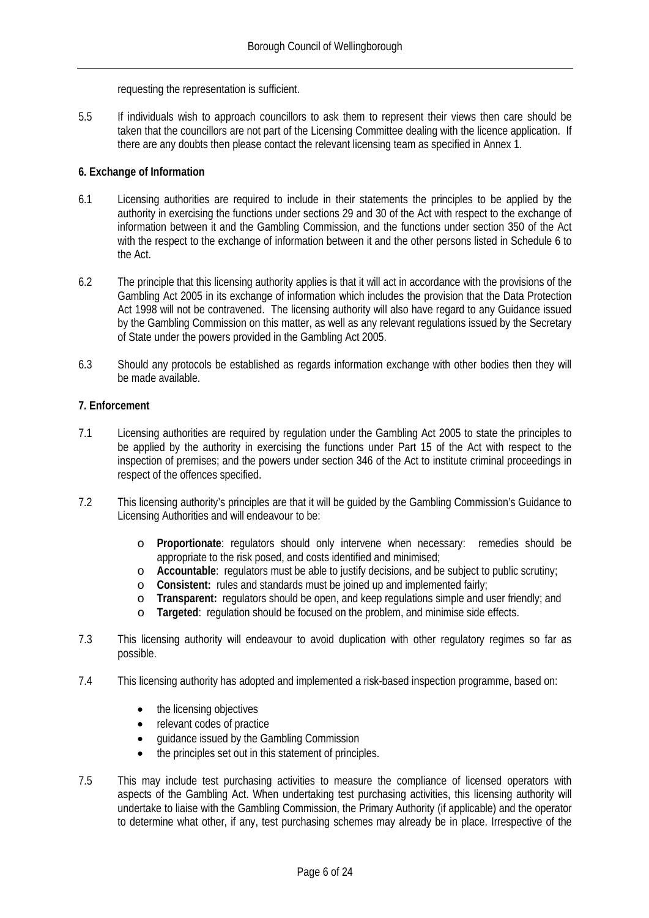requesting the representation is sufficient.

5.5 If individuals wish to approach councillors to ask them to represent their views then care should be taken that the councillors are not part of the Licensing Committee dealing with the licence application. If there are any doubts then please contact the relevant licensing team as specified in Annex 1.

#### <span id="page-9-0"></span>**6. Exchange of Information**

- 6.1 Licensing authorities are required to include in their statements the principles to be applied by the authority in exercising the functions under sections 29 and 30 of the Act with respect to the exchange of information between it and the Gambling Commission, and the functions under section 350 of the Act with the respect to the exchange of information between it and the other persons listed in Schedule 6 to the Act.
- 6.2 The principle that this licensing authority applies is that it will act in accordance with the provisions of the Gambling Act 2005 in its exchange of information which includes the provision that the Data Protection Act 1998 will not be contravened. The licensing authority will also have regard to any Guidance issued by the Gambling Commission on this matter, as well as any relevant regulations issued by the Secretary of State under the powers provided in the Gambling Act 2005.
- 6.3 Should any protocols be established as regards information exchange with other bodies then they will be made available.

#### <span id="page-9-1"></span>**7. Enforcement**

- 7.1 Licensing authorities are required by regulation under the Gambling Act 2005 to state the principles to be applied by the authority in exercising the functions under Part 15 of the Act with respect to the inspection of premises; and the powers under section 346 of the Act to institute criminal proceedings in respect of the offences specified.
- 7.2 This licensing authority's principles are that it will be guided by the Gambling Commission's Guidance to Licensing Authorities and will endeavour to be:
	- o **Proportionate**: regulators should only intervene when necessary: remedies should be appropriate to the risk posed, and costs identified and minimised;
	- o **Accountable**: regulators must be able to justify decisions, and be subject to public scrutiny;
	- o **Consistent:** rules and standards must be joined up and implemented fairly;
	- o **Transparent:** regulators should be open, and keep regulations simple and user friendly; and o **Targeted:** regulation should be focused on the problem, and minimise side effects.
	- **Targeted:** regulation should be focused on the problem, and minimise side effects.
- 7.3 This licensing authority will endeavour to avoid duplication with other regulatory regimes so far as possible.
- 7.4 This licensing authority has adopted and implemented a risk-based inspection programme, based on:
	- the licensing objectives
	- relevant codes of practice
	- guidance issued by the Gambling Commission
	- the principles set out in this statement of principles.
- 7.5 This may include test purchasing activities to measure the compliance of licensed operators with aspects of the Gambling Act. When undertaking test purchasing activities, this licensing authority will undertake to liaise with the Gambling Commission, the Primary Authority (if applicable) and the operator to determine what other, if any, test purchasing schemes may already be in place. Irrespective of the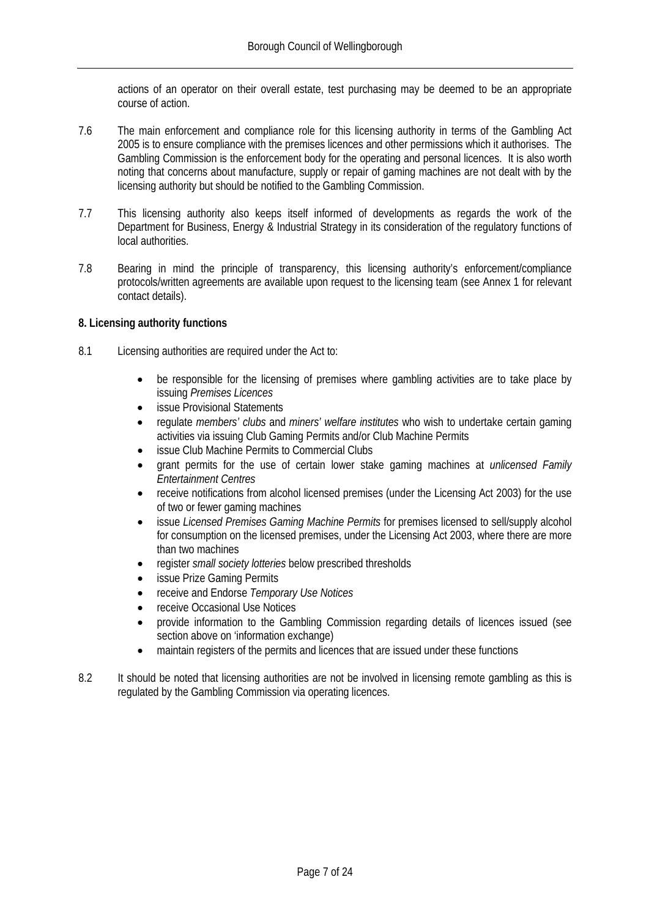actions of an operator on their overall estate, test purchasing may be deemed to be an appropriate course of action.

- 7.6 The main enforcement and compliance role for this licensing authority in terms of the Gambling Act 2005 is to ensure compliance with the premises licences and other permissions which it authorises. The Gambling Commission is the enforcement body for the operating and personal licences. It is also worth noting that concerns about manufacture, supply or repair of gaming machines are not dealt with by the licensing authority but should be notified to the Gambling Commission.
- 7.7 This licensing authority also keeps itself informed of developments as regards the work of the Department for Business, Energy & Industrial Strategy in its consideration of the regulatory functions of local authorities.
- 7.8 Bearing in mind the principle of transparency, this licensing authority's enforcement/compliance protocols/written agreements are available upon request to the licensing team (see Annex 1 for relevant contact details).

#### <span id="page-10-0"></span>**8. Licensing authority functions**

- 8.1 Licensing authorities are required under the Act to:
	- be responsible for the licensing of premises where gambling activities are to take place by issuing *Premises Licences*
	- issue Provisional Statements
	- regulate *members' clubs* and *miners' welfare institutes* who wish to undertake certain gaming activities via issuing Club Gaming Permits and/or Club Machine Permits
	- issue Club Machine Permits to Commercial Clubs
	- grant permits for the use of certain lower stake gaming machines at *unlicensed Family Entertainment Centres*
	- receive notifications from alcohol licensed premises (under the Licensing Act 2003) for the use of two or fewer gaming machines
	- issue *Licensed Premises Gaming Machine Permits* for premises licensed to sell/supply alcohol for consumption on the licensed premises, under the Licensing Act 2003, where there are more than two machines
	- register *small society lotteries* below prescribed thresholds
	- issue Prize Gaming Permits
	- receive and Endorse *Temporary Use Notices*
	- receive Occasional Use Notices
	- provide information to the Gambling Commission regarding details of licences issued (see section above on 'information exchange)
	- maintain registers of the permits and licences that are issued under these functions
- 8.2 It should be noted that licensing authorities are not be involved in licensing remote gambling as this is regulated by the Gambling Commission via operating licences.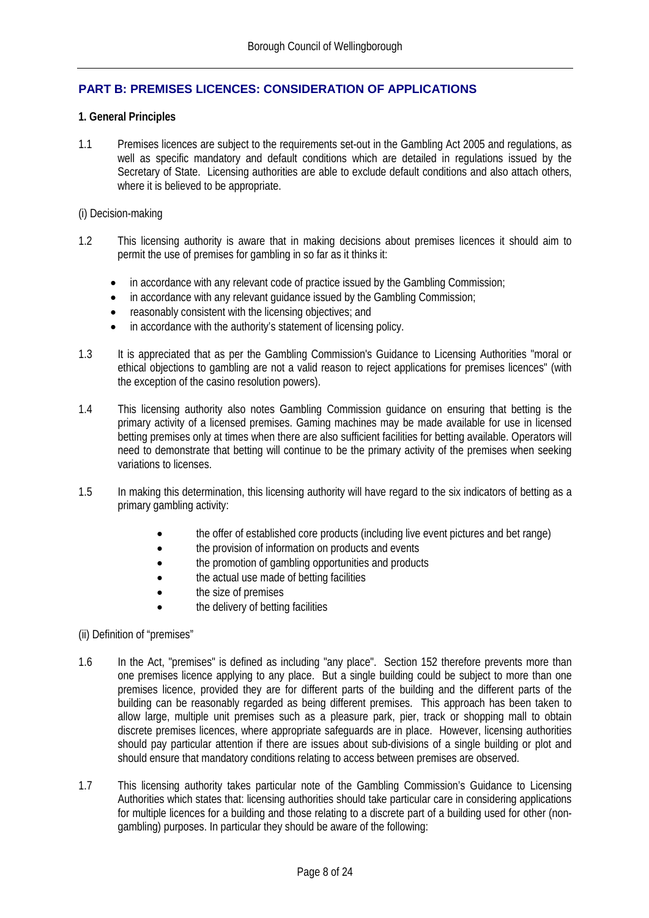#### <span id="page-11-0"></span>**PART B: PREMISES LICENCES: CONSIDERATION OF APPLICATIONS**

#### <span id="page-11-1"></span>**1. General Principles**

1.1 Premises licences are subject to the requirements set-out in the Gambling Act 2005 and regulations, as well as specific mandatory and default conditions which are detailed in regulations issued by the Secretary of State. Licensing authorities are able to exclude default conditions and also attach others, where it is believed to be appropriate.

#### (i) Decision-making

- 1.2 This licensing authority is aware that in making decisions about premises licences it should aim to permit the use of premises for gambling in so far as it thinks it:
	- in accordance with any relevant code of practice issued by the Gambling Commission;
	- in accordance with any relevant quidance issued by the Gambling Commission;
	- reasonably consistent with the licensing objectives; and
	- in accordance with the authority's statement of licensing policy.
- 1.3 It is appreciated that as per the Gambling Commission's Guidance to Licensing Authorities "moral or ethical objections to gambling are not a valid reason to reject applications for premises licences" (with the exception of the casino resolution powers).
- 1.4 This licensing authority also notes Gambling Commission guidance on ensuring that betting is the primary activity of a licensed premises. Gaming machines may be made available for use in licensed betting premises only at times when there are also sufficient facilities for betting available. Operators will need to demonstrate that betting will continue to be the primary activity of the premises when seeking variations to licenses.
- 1.5 In making this determination, this licensing authority will have regard to the six indicators of betting as a primary gambling activity:
	- the offer of established core products (including live event pictures and bet range)
	- the provision of information on products and events
	- the promotion of gambling opportunities and products
	- the actual use made of betting facilities
	- the size of premises
	- the delivery of betting facilities

(ii) Definition of "premises"

- 1.6 In the Act, "premises" is defined as including "any place". Section 152 therefore prevents more than one premises licence applying to any place. But a single building could be subject to more than one premises licence, provided they are for different parts of the building and the different parts of the building can be reasonably regarded as being different premises. This approach has been taken to allow large, multiple unit premises such as a pleasure park, pier, track or shopping mall to obtain discrete premises licences, where appropriate safeguards are in place. However, licensing authorities should pay particular attention if there are issues about sub-divisions of a single building or plot and should ensure that mandatory conditions relating to access between premises are observed.
- 1.7 This licensing authority takes particular note of the Gambling Commission's Guidance to Licensing Authorities which states that: licensing authorities should take particular care in considering applications for multiple licences for a building and those relating to a discrete part of a building used for other (nongambling) purposes. In particular they should be aware of the following: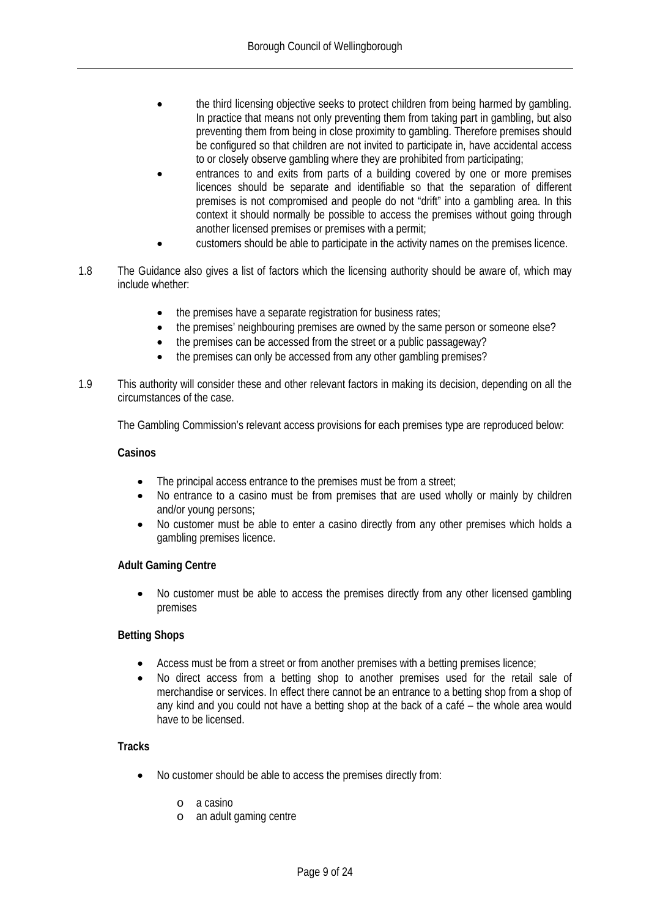- the third licensing objective seeks to protect children from being harmed by gambling. In practice that means not only preventing them from taking part in gambling, but also preventing them from being in close proximity to gambling. Therefore premises should be configured so that children are not invited to participate in, have accidental access to or closely observe gambling where they are prohibited from participating;
- entrances to and exits from parts of a building covered by one or more premises licences should be separate and identifiable so that the separation of different premises is not compromised and people do not "drift" into a gambling area. In this context it should normally be possible to access the premises without going through another licensed premises or premises with a permit;
- customers should be able to participate in the activity names on the premises licence.
- 1.8 The Guidance also gives a list of factors which the licensing authority should be aware of, which may include whether:
	- the premises have a separate registration for business rates;
	- the premises' neighbouring premises are owned by the same person or someone else?
	- the premises can be accessed from the street or a public passageway?
	- the premises can only be accessed from any other gambling premises?
- 1.9 This authority will consider these and other relevant factors in making its decision, depending on all the circumstances of the case.

The Gambling Commission's relevant access provisions for each premises type are reproduced below:

#### **Casinos**

- The principal access entrance to the premises must be from a street;
- No entrance to a casino must be from premises that are used wholly or mainly by children and/or young persons;
- No customer must be able to enter a casino directly from any other premises which holds a gambling premises licence.

#### **Adult Gaming Centre**

• No customer must be able to access the premises directly from any other licensed gambling premises

#### **Betting Shops**

- Access must be from a street or from another premises with a betting premises licence;
- No direct access from a betting shop to another premises used for the retail sale of merchandise or services. In effect there cannot be an entrance to a betting shop from a shop of any kind and you could not have a betting shop at the back of a café – the whole area would have to be licensed.

#### **Tracks**

- No customer should be able to access the premises directly from:
	- o a casino
	- o an adult gaming centre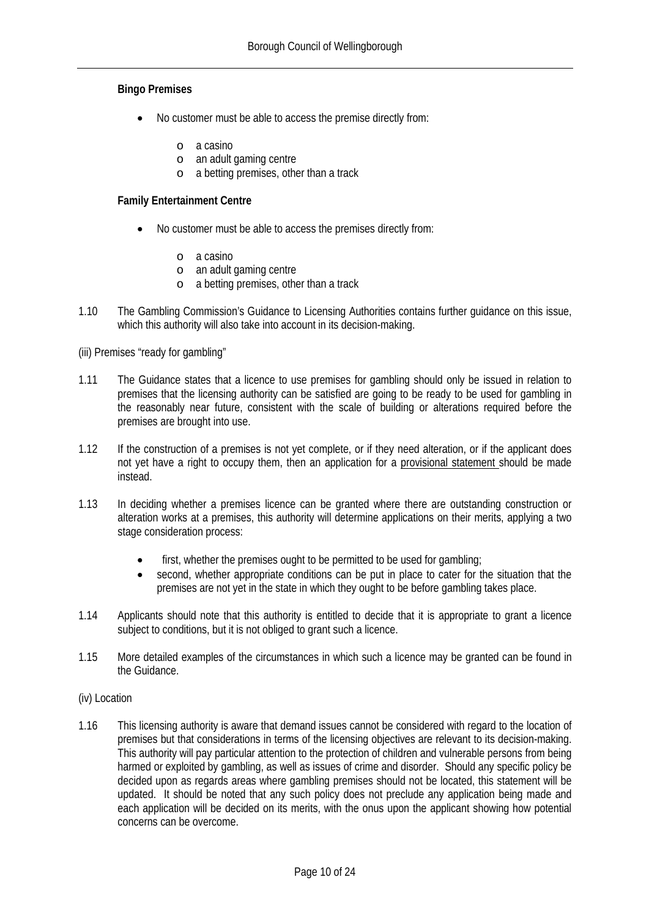#### **Bingo Premises**

- No customer must be able to access the premise directly from:
	- o a casino
	- o an adult gaming centre
	- o a betting premises, other than a track

#### **Family Entertainment Centre**

- No customer must be able to access the premises directly from:
	- o a casino
	- o an adult gaming centre
	- o a betting premises, other than a track
- 1.10 The Gambling Commission's Guidance to Licensing Authorities contains further guidance on this issue, which this authority will also take into account in its decision-making.

(iii) Premises "ready for gambling"

- 1.11 The Guidance states that a licence to use premises for gambling should only be issued in relation to premises that the licensing authority can be satisfied are going to be ready to be used for gambling in the reasonably near future, consistent with the scale of building or alterations required before the premises are brought into use.
- 1.12 If the construction of a premises is not yet complete, or if they need alteration, or if the applicant does not yet have a right to occupy them, then an application for a provisional statement should be made instead.
- 1.13 In deciding whether a premises licence can be granted where there are outstanding construction or alteration works at a premises, this authority will determine applications on their merits, applying a two stage consideration process:
	- first, whether the premises ought to be permitted to be used for gambling;
	- second, whether appropriate conditions can be put in place to cater for the situation that the premises are not yet in the state in which they ought to be before gambling takes place.
- 1.14 Applicants should note that this authority is entitled to decide that it is appropriate to grant a licence subject to conditions, but it is not obliged to grant such a licence.
- 1.15 More detailed examples of the circumstances in which such a licence may be granted can be found in the Guidance.
- (iv) Location
- 1.16 This licensing authority is aware that demand issues cannot be considered with regard to the location of premises but that considerations in terms of the licensing objectives are relevant to its decision-making. This authority will pay particular attention to the protection of children and vulnerable persons from being harmed or exploited by gambling, as well as issues of crime and disorder. Should any specific policy be decided upon as regards areas where gambling premises should not be located, this statement will be updated. It should be noted that any such policy does not preclude any application being made and each application will be decided on its merits, with the onus upon the applicant showing how potential concerns can be overcome.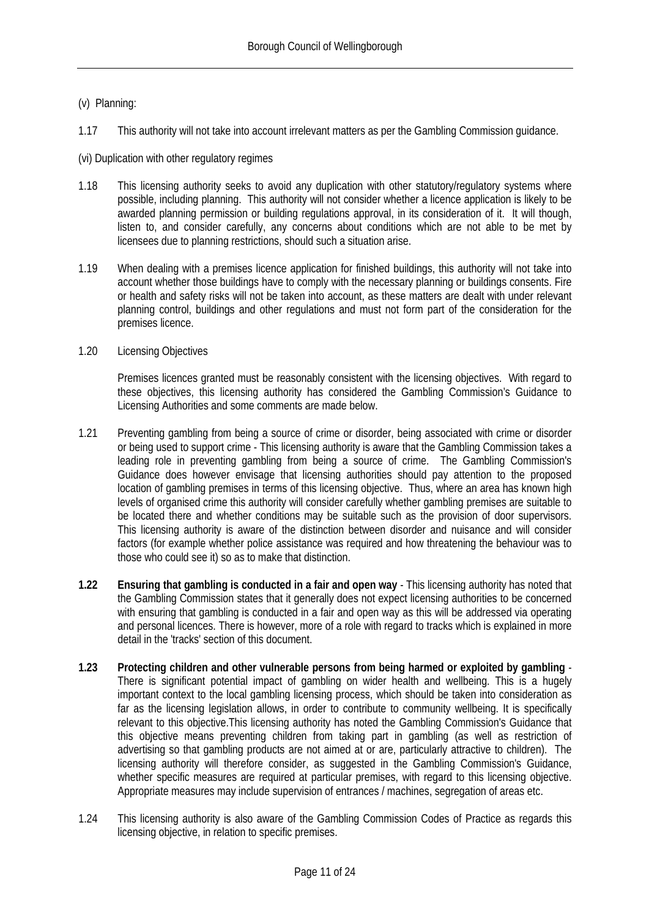#### (v) Planning:

1.17 This authority will not take into account irrelevant matters as per the Gambling Commission guidance.

(vi) Duplication with other regulatory regimes

- 1.18 This licensing authority seeks to avoid any duplication with other statutory/regulatory systems where possible, including planning. This authority will not consider whether a licence application is likely to be awarded planning permission or building regulations approval, in its consideration of it. It will though, listen to, and consider carefully, any concerns about conditions which are not able to be met by licensees due to planning restrictions, should such a situation arise.
- 1.19 When dealing with a premises licence application for finished buildings, this authority will not take into account whether those buildings have to comply with the necessary planning or buildings consents. Fire or health and safety risks will not be taken into account, as these matters are dealt with under relevant planning control, buildings and other regulations and must not form part of the consideration for the premises licence.
- 1.20 Licensing Objectives

Premises licences granted must be reasonably consistent with the licensing objectives. With regard to these objectives, this licensing authority has considered the Gambling Commission's Guidance to Licensing Authorities and some comments are made below.

- 1.21 Preventing gambling from being a source of crime or disorder, being associated with crime or disorder or being used to support crime - This licensing authority is aware that the Gambling Commission takes a leading role in preventing gambling from being a source of crime. The Gambling Commission's Guidance does however envisage that licensing authorities should pay attention to the proposed location of gambling premises in terms of this licensing objective. Thus, where an area has known high levels of organised crime this authority will consider carefully whether gambling premises are suitable to be located there and whether conditions may be suitable such as the provision of door supervisors. This licensing authority is aware of the distinction between disorder and nuisance and will consider factors (for example whether police assistance was required and how threatening the behaviour was to those who could see it) so as to make that distinction.
- **1.22 Ensuring that gambling is conducted in a fair and open way** This licensing authority has noted that the Gambling Commission states that it generally does not expect licensing authorities to be concerned with ensuring that gambling is conducted in a fair and open way as this will be addressed via operating and personal licences. There is however, more of a role with regard to tracks which is explained in more detail in the 'tracks' section of this document.
- **1.23 Protecting children and other vulnerable persons from being harmed or exploited by gambling** There is significant potential impact of gambling on wider health and wellbeing. This is a hugely important context to the local gambling licensing process, which should be taken into consideration as far as the licensing legislation allows, in order to contribute to community wellbeing. It is specifically relevant to this objective.This licensing authority has noted the Gambling Commission's Guidance that this objective means preventing children from taking part in gambling (as well as restriction of advertising so that gambling products are not aimed at or are, particularly attractive to children). The licensing authority will therefore consider, as suggested in the Gambling Commission's Guidance, whether specific measures are required at particular premises, with regard to this licensing objective. Appropriate measures may include supervision of entrances / machines, segregation of areas etc.
- 1.24 This licensing authority is also aware of the Gambling Commission Codes of Practice as regards this licensing objective, in relation to specific premises.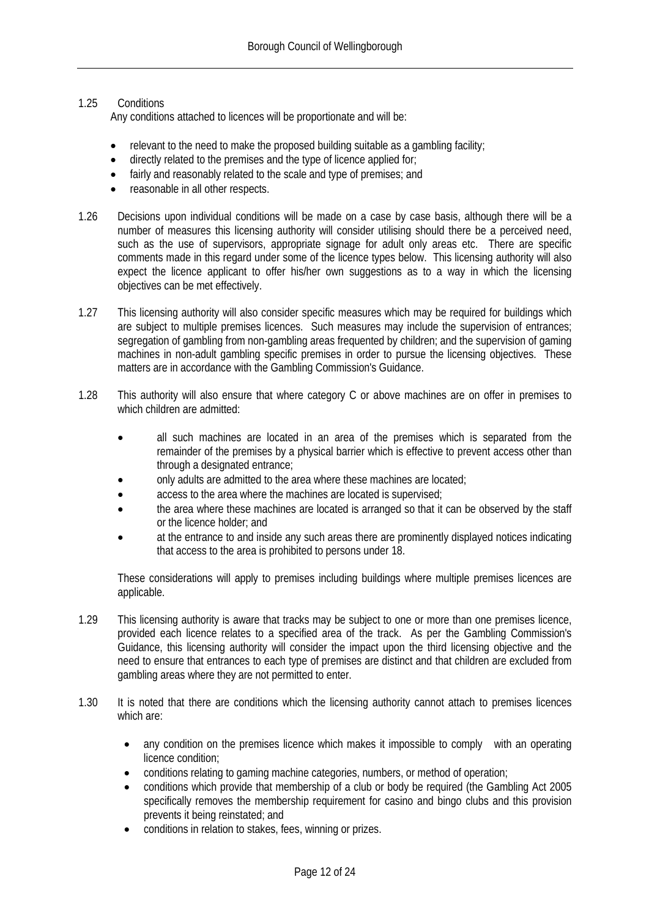#### 1.25 Conditions

Any conditions attached to licences will be proportionate and will be:

- relevant to the need to make the proposed building suitable as a gambling facility;
- directly related to the premises and the type of licence applied for;
- fairly and reasonably related to the scale and type of premises: and
- reasonable in all other respects.
- 1.26 Decisions upon individual conditions will be made on a case by case basis, although there will be a number of measures this licensing authority will consider utilising should there be a perceived need, such as the use of supervisors, appropriate signage for adult only areas etc. There are specific comments made in this regard under some of the licence types below. This licensing authority will also expect the licence applicant to offer his/her own suggestions as to a way in which the licensing objectives can be met effectively.
- 1.27 This licensing authority will also consider specific measures which may be required for buildings which are subject to multiple premises licences. Such measures may include the supervision of entrances; segregation of gambling from non-gambling areas frequented by children; and the supervision of gaming machines in non-adult gambling specific premises in order to pursue the licensing objectives. These matters are in accordance with the Gambling Commission's Guidance.
- 1.28 This authority will also ensure that where category C or above machines are on offer in premises to which children are admitted:
	- all such machines are located in an area of the premises which is separated from the remainder of the premises by a physical barrier which is effective to prevent access other than through a designated entrance;
	- only adults are admitted to the area where these machines are located;
	- access to the area where the machines are located is supervised;
	- the area where these machines are located is arranged so that it can be observed by the staff or the licence holder; and
	- at the entrance to and inside any such areas there are prominently displayed notices indicating that access to the area is prohibited to persons under 18.

These considerations will apply to premises including buildings where multiple premises licences are applicable.

- 1.29 This licensing authority is aware that tracks may be subject to one or more than one premises licence, provided each licence relates to a specified area of the track. As per the Gambling Commission's Guidance, this licensing authority will consider the impact upon the third licensing objective and the need to ensure that entrances to each type of premises are distinct and that children are excluded from gambling areas where they are not permitted to enter.
- 1.30 It is noted that there are conditions which the licensing authority cannot attach to premises licences which are:
	- any condition on the premises licence which makes it impossible to comply with an operating licence condition;
	- conditions relating to gaming machine categories, numbers, or method of operation;
	- conditions which provide that membership of a club or body be required (the Gambling Act 2005 specifically removes the membership requirement for casino and bingo clubs and this provision prevents it being reinstated; and
	- conditions in relation to stakes, fees, winning or prizes.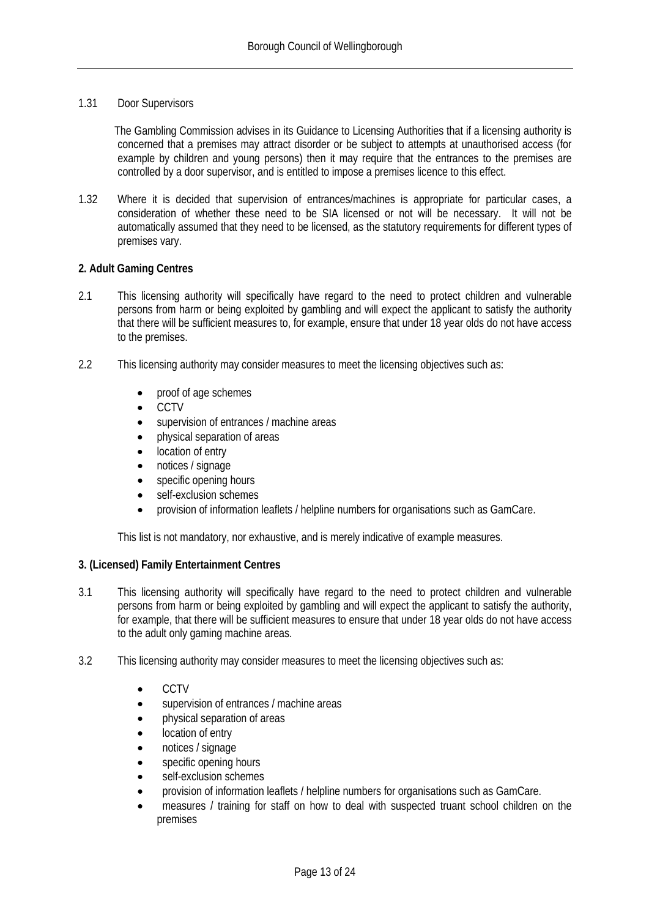#### 1.31 Door Supervisors

The Gambling Commission advises in its Guidance to Licensing Authorities that if a licensing authority is concerned that a premises may attract disorder or be subject to attempts at unauthorised access (for example by children and young persons) then it may require that the entrances to the premises are controlled by a door supervisor, and is entitled to impose a premises licence to this effect.

1.32 Where it is decided that supervision of entrances/machines is appropriate for particular cases, a consideration of whether these need to be SIA licensed or not will be necessary. It will not be automatically assumed that they need to be licensed, as the statutory requirements for different types of premises vary.

#### <span id="page-16-0"></span>**2. Adult Gaming Centres**

- 2.1 This licensing authority will specifically have regard to the need to protect children and vulnerable persons from harm or being exploited by gambling and will expect the applicant to satisfy the authority that there will be sufficient measures to, for example, ensure that under 18 year olds do not have access to the premises.
- 2.2 This licensing authority may consider measures to meet the licensing objectives such as:
	- proof of age schemes
	- CCTV
	- supervision of entrances / machine areas
	- physical separation of areas
	- location of entry
	- notices / signage
	- specific opening hours
	- self-exclusion schemes
	- provision of information leaflets / helpline numbers for organisations such as GamCare.

This list is not mandatory, nor exhaustive, and is merely indicative of example measures.

#### <span id="page-16-1"></span>**3. (Licensed) Family Entertainment Centres**

- 3.1 This licensing authority will specifically have regard to the need to protect children and vulnerable persons from harm or being exploited by gambling and will expect the applicant to satisfy the authority, for example, that there will be sufficient measures to ensure that under 18 year olds do not have access to the adult only gaming machine areas.
- 3.2 This licensing authority may consider measures to meet the licensing objectives such as:
	- CCTV
	- supervision of entrances / machine areas
	- physical separation of areas
	- location of entry
	- notices / signage
	- specific opening hours
	- self-exclusion schemes
	- provision of information leaflets / helpline numbers for organisations such as GamCare.
	- measures / training for staff on how to deal with suspected truant school children on the premises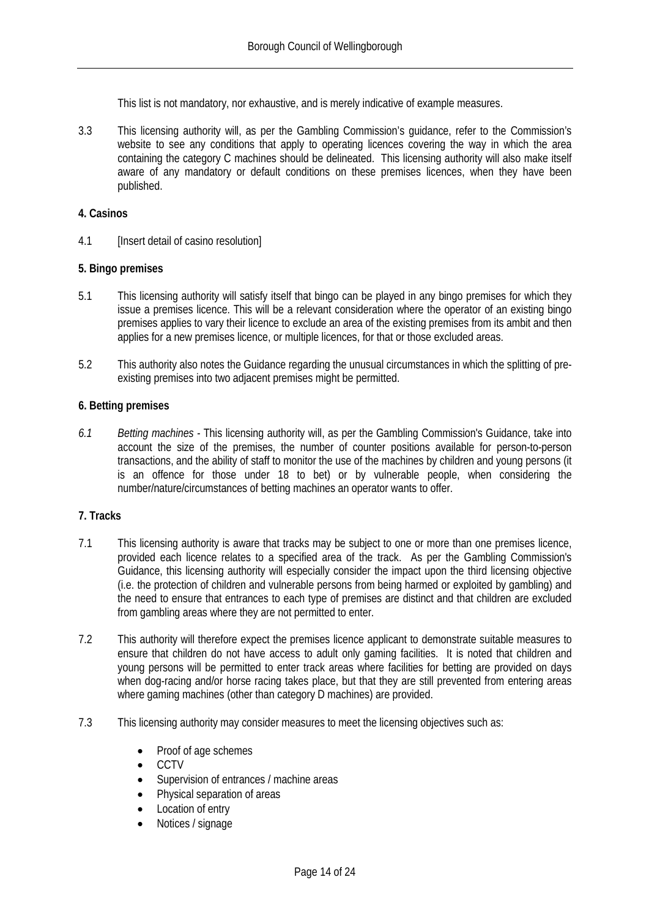This list is not mandatory, nor exhaustive, and is merely indicative of example measures.

3.3 This licensing authority will, as per the Gambling Commission's guidance, refer to the Commission's website to see any conditions that apply to operating licences covering the way in which the area containing the category C machines should be delineated. This licensing authority will also make itself aware of any mandatory or default conditions on these premises licences, when they have been published.

#### <span id="page-17-0"></span>**4. Casinos**

4.1 [Insert detail of casino resolution]

#### <span id="page-17-1"></span>**5. Bingo premises**

- 5.1 This licensing authority will satisfy itself that bingo can be played in any bingo premises for which they issue a premises licence. This will be a relevant consideration where the operator of an existing bingo premises applies to vary their licence to exclude an area of the existing premises from its ambit and then applies for a new premises licence, or multiple licences, for that or those excluded areas.
- 5.2 This authority also notes the Guidance regarding the unusual circumstances in which the splitting of preexisting premises into two adjacent premises might be permitted.

#### <span id="page-17-2"></span>**6. Betting premises**

*6.1 Betting machines -* This licensing authority will, as per the Gambling Commission's Guidance, take into account the size of the premises, the number of counter positions available for person-to-person transactions, and the ability of staff to monitor the use of the machines by children and young persons (it is an offence for those under 18 to bet) or by vulnerable people, when considering the number/nature/circumstances of betting machines an operator wants to offer.

#### <span id="page-17-3"></span>**7. Tracks**

- 7.1 This licensing authority is aware that tracks may be subject to one or more than one premises licence, provided each licence relates to a specified area of the track. As per the Gambling Commission's Guidance, this licensing authority will especially consider the impact upon the third licensing objective (i.e. the protection of children and vulnerable persons from being harmed or exploited by gambling) and the need to ensure that entrances to each type of premises are distinct and that children are excluded from gambling areas where they are not permitted to enter.
- 7.2 This authority will therefore expect the premises licence applicant to demonstrate suitable measures to ensure that children do not have access to adult only gaming facilities. It is noted that children and young persons will be permitted to enter track areas where facilities for betting are provided on days when dog-racing and/or horse racing takes place, but that they are still prevented from entering areas where gaming machines (other than category D machines) are provided.
- 7.3 This licensing authority may consider measures to meet the licensing objectives such as:
	- Proof of age schemes
	- CCTV
	- Supervision of entrances / machine areas
	- Physical separation of areas
	- Location of entry
	- Notices / signage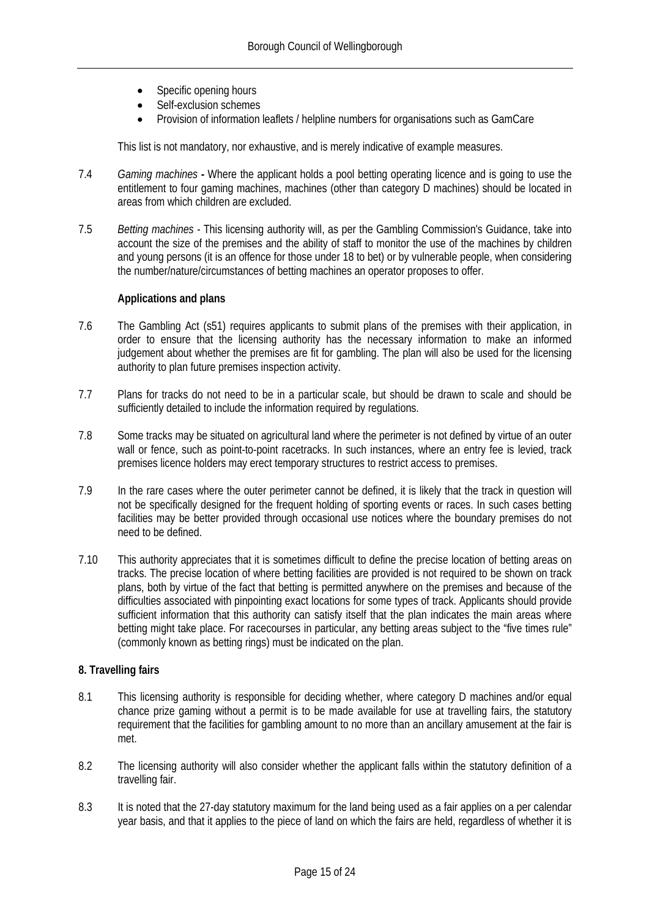- Specific opening hours
- Self-exclusion schemes
- Provision of information leaflets / helpline numbers for organisations such as GamCare

This list is not mandatory, nor exhaustive, and is merely indicative of example measures.

- 7.4 *Gaming machines* **-** Where the applicant holds a pool betting operating licence and is going to use the entitlement to four gaming machines, machines (other than category D machines) should be located in areas from which children are excluded.
- 7.5 *Betting machines -* This licensing authority will, as per the Gambling Commission's Guidance, take into account the size of the premises and the ability of staff to monitor the use of the machines by children and young persons (it is an offence for those under 18 to bet) or by vulnerable people, when considering the number/nature/circumstances of betting machines an operator proposes to offer.

#### **Applications and plans**

- 7.6 The Gambling Act (s51) requires applicants to submit plans of the premises with their application, in order to ensure that the licensing authority has the necessary information to make an informed judgement about whether the premises are fit for gambling. The plan will also be used for the licensing authority to plan future premises inspection activity.
- 7.7 Plans for tracks do not need to be in a particular scale, but should be drawn to scale and should be sufficiently detailed to include the information required by regulations.
- 7.8 Some tracks may be situated on agricultural land where the perimeter is not defined by virtue of an outer wall or fence, such as point-to-point racetracks. In such instances, where an entry fee is levied, track premises licence holders may erect temporary structures to restrict access to premises.
- 7.9 In the rare cases where the outer perimeter cannot be defined, it is likely that the track in question will not be specifically designed for the frequent holding of sporting events or races. In such cases betting facilities may be better provided through occasional use notices where the boundary premises do not need to be defined.
- 7.10 This authority appreciates that it is sometimes difficult to define the precise location of betting areas on tracks. The precise location of where betting facilities are provided is not required to be shown on track plans, both by virtue of the fact that betting is permitted anywhere on the premises and because of the difficulties associated with pinpointing exact locations for some types of track. Applicants should provide sufficient information that this authority can satisfy itself that the plan indicates the main areas where betting might take place. For racecourses in particular, any betting areas subject to the "five times rule" (commonly known as betting rings) must be indicated on the plan.

#### <span id="page-18-0"></span>**8. Travelling fairs**

- 8.1 This licensing authority is responsible for deciding whether, where category D machines and/or equal chance prize gaming without a permit is to be made available for use at travelling fairs, the statutory requirement that the facilities for gambling amount to no more than an ancillary amusement at the fair is met.
- 8.2 The licensing authority will also consider whether the applicant falls within the statutory definition of a travelling fair.
- 8.3 It is noted that the 27-day statutory maximum for the land being used as a fair applies on a per calendar year basis, and that it applies to the piece of land on which the fairs are held, regardless of whether it is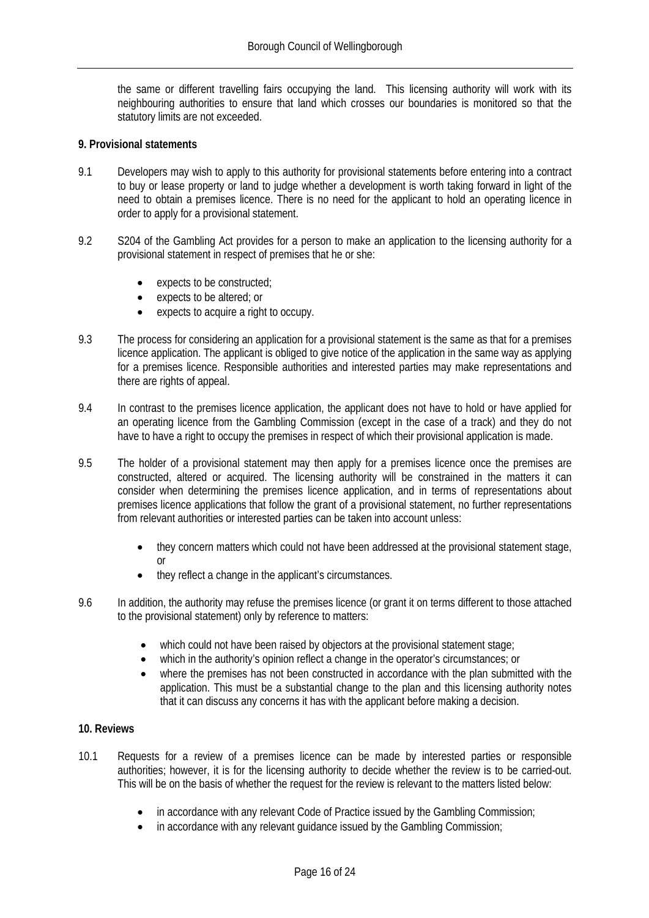the same or different travelling fairs occupying the land. This licensing authority will work with its neighbouring authorities to ensure that land which crosses our boundaries is monitored so that the statutory limits are not exceeded.

#### <span id="page-19-0"></span>**9. Provisional statements**

- 9.1 Developers may wish to apply to this authority for provisional statements before entering into a contract to buy or lease property or land to judge whether a development is worth taking forward in light of the need to obtain a premises licence. There is no need for the applicant to hold an operating licence in order to apply for a provisional statement.
- 9.2 S204 of the Gambling Act provides for a person to make an application to the licensing authority for a provisional statement in respect of premises that he or she:
	- expects to be constructed;
	- expects to be altered; or
	- expects to acquire a right to occupy.
- 9.3 The process for considering an application for a provisional statement is the same as that for a premises licence application. The applicant is obliged to give notice of the application in the same way as applying for a premises licence. Responsible authorities and interested parties may make representations and there are rights of appeal.
- 9.4 In contrast to the premises licence application, the applicant does not have to hold or have applied for an operating licence from the Gambling Commission (except in the case of a track) and they do not have to have a right to occupy the premises in respect of which their provisional application is made.
- 9.5 The holder of a provisional statement may then apply for a premises licence once the premises are constructed, altered or acquired. The licensing authority will be constrained in the matters it can consider when determining the premises licence application, and in terms of representations about premises licence applications that follow the grant of a provisional statement, no further representations from relevant authorities or interested parties can be taken into account unless:
	- they concern matters which could not have been addressed at the provisional statement stage, or
	- they reflect a change in the applicant's circumstances.
- 9.6 In addition, the authority may refuse the premises licence (or grant it on terms different to those attached to the provisional statement) only by reference to matters:
	- which could not have been raised by objectors at the provisional statement stage;
	- which in the authority's opinion reflect a change in the operator's circumstances; or
	- where the premises has not been constructed in accordance with the plan submitted with the application. This must be a substantial change to the plan and this licensing authority notes that it can discuss any concerns it has with the applicant before making a decision.

#### <span id="page-19-1"></span>**10. Reviews**

- 10.1 Requests for a review of a premises licence can be made by interested parties or responsible authorities; however, it is for the licensing authority to decide whether the review is to be carried-out. This will be on the basis of whether the request for the review is relevant to the matters listed below:
	- in accordance with any relevant Code of Practice issued by the Gambling Commission;
	- in accordance with any relevant quidance issued by the Gambling Commission;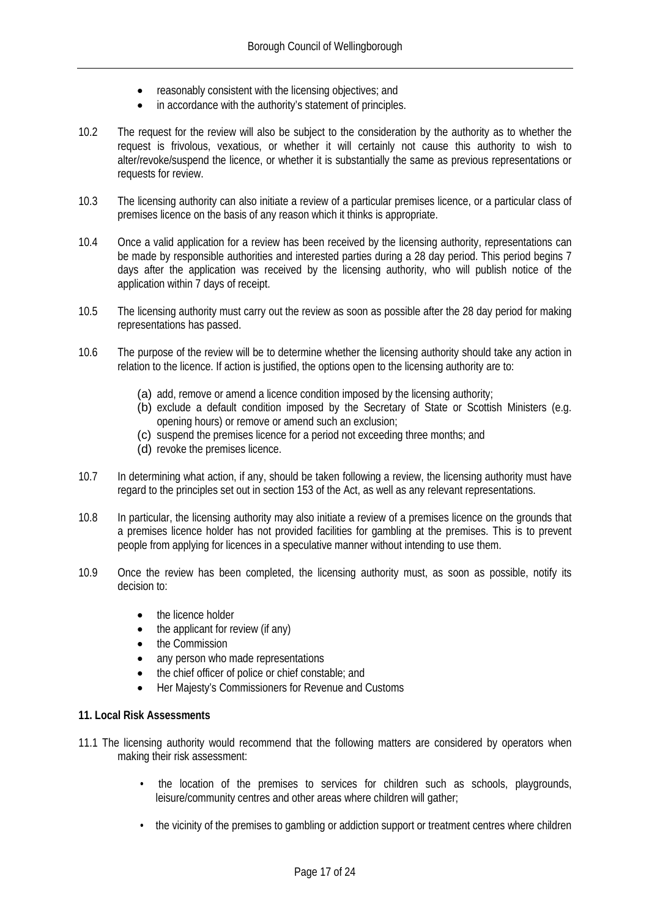- reasonably consistent with the licensing objectives; and
- in accordance with the authority's statement of principles.
- 10.2 The request for the review will also be subject to the consideration by the authority as to whether the request is frivolous, vexatious, or whether it will certainly not cause this authority to wish to alter/revoke/suspend the licence, or whether it is substantially the same as previous representations or requests for review.
- 10.3 The licensing authority can also initiate a review of a particular premises licence, or a particular class of premises licence on the basis of any reason which it thinks is appropriate.
- 10.4 Once a valid application for a review has been received by the licensing authority, representations can be made by responsible authorities and interested parties during a 28 day period. This period begins 7 days after the application was received by the licensing authority, who will publish notice of the application within 7 days of receipt.
- 10.5 The licensing authority must carry out the review as soon as possible after the 28 day period for making representations has passed.
- 10.6 The purpose of the review will be to determine whether the licensing authority should take any action in relation to the licence. If action is justified, the options open to the licensing authority are to:
	- (a) add, remove or amend a licence condition imposed by the licensing authority;
	- (b) exclude a default condition imposed by the Secretary of State or Scottish Ministers (e.g. opening hours) or remove or amend such an exclusion;
	- (c) suspend the premises licence for a period not exceeding three months; and
	- (d) revoke the premises licence.
- 10.7 In determining what action, if any, should be taken following a review, the licensing authority must have regard to the principles set out in section 153 of the Act, as well as any relevant representations.
- 10.8 In particular, the licensing authority may also initiate a review of a premises licence on the grounds that a premises licence holder has not provided facilities for gambling at the premises. This is to prevent people from applying for licences in a speculative manner without intending to use them.
- 10.9 Once the review has been completed, the licensing authority must, as soon as possible, notify its decision to:
	- the licence holder
	- the applicant for review (if any)
	- the Commission
	- any person who made representations
	- the chief officer of police or chief constable; and
	- Her Majesty's Commissioners for Revenue and Customs

#### **11. Local Risk Assessments**

- 11.1 The licensing authority would recommend that the following matters are considered by operators when making their risk assessment:
	- the location of the premises to services for children such as schools, playgrounds, leisure/community centres and other areas where children will gather;
	- the vicinity of the premises to gambling or addiction support or treatment centres where children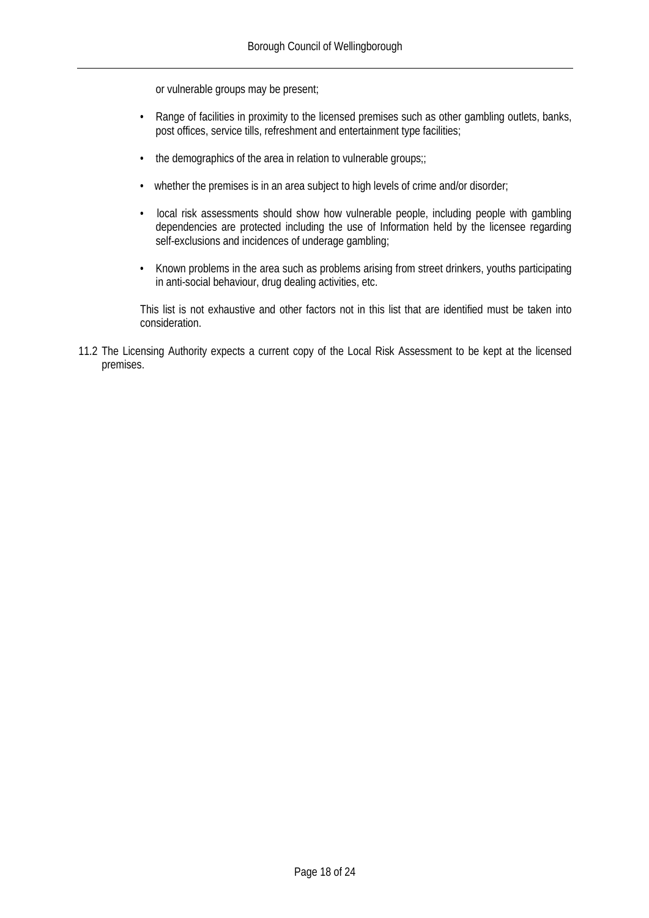or vulnerable groups may be present;

- Range of facilities in proximity to the licensed premises such as other gambling outlets, banks, post offices, service tills, refreshment and entertainment type facilities;
- the demographics of the area in relation to vulnerable groups;;
- whether the premises is in an area subject to high levels of crime and/or disorder;
- local risk assessments should show how vulnerable people, including people with gambling dependencies are protected including the use of Information held by the licensee regarding self-exclusions and incidences of underage gambling;
- Known problems in the area such as problems arising from street drinkers, youths participating in anti-social behaviour, drug dealing activities, etc.

This list is not exhaustive and other factors not in this list that are identified must be taken into consideration.

11.2 The Licensing Authority expects a current copy of the Local Risk Assessment to be kept at the licensed premises.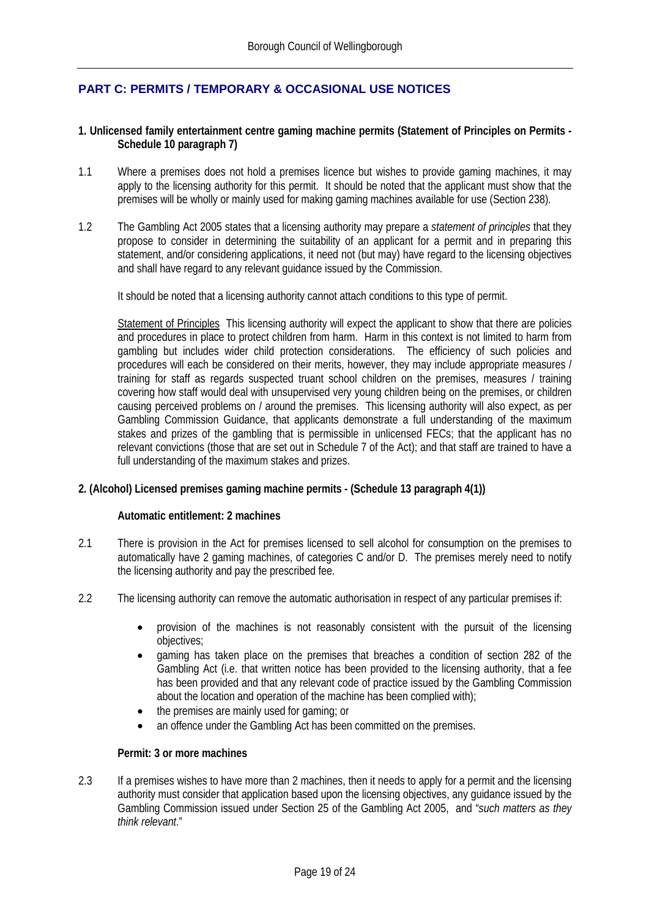#### <span id="page-22-0"></span>**PART C: PERMITS / TEMPORARY & OCCASIONAL USE NOTICES**

#### <span id="page-22-1"></span>**1. Unlicensed family entertainment centre gaming machine permits (Statement of Principles on Permits - Schedule 10 paragraph 7)**

- 1.1 Where a premises does not hold a premises licence but wishes to provide gaming machines, it may apply to the licensing authority for this permit. It should be noted that the applicant must show that the premises will be wholly or mainly used for making gaming machines available for use (Section 238).
- 1.2 The Gambling Act 2005 states that a licensing authority may prepare a *statement of principles* that they propose to consider in determining the suitability of an applicant for a permit and in preparing this statement, and/or considering applications, it need not (but may) have regard to the licensing objectives and shall have regard to any relevant guidance issued by the Commission.

It should be noted that a licensing authority cannot attach conditions to this type of permit.

Statement of Principles This licensing authority will expect the applicant to show that there are policies and procedures in place to protect children from harm. Harm in this context is not limited to harm from gambling but includes wider child protection considerations. The efficiency of such policies and procedures will each be considered on their merits, however, they may include appropriate measures / training for staff as regards suspected truant school children on the premises, measures / training covering how staff would deal with unsupervised very young children being on the premises, or children causing perceived problems on / around the premises. This licensing authority will also expect, as per Gambling Commission Guidance, that applicants demonstrate a full understanding of the maximum stakes and prizes of the gambling that is permissible in unlicensed FECs; that the applicant has no relevant convictions (those that are set out in Schedule 7 of the Act); and that staff are trained to have a full understanding of the maximum stakes and prizes.

#### <span id="page-22-2"></span>**2. (Alcohol) Licensed premises gaming machine permits - (Schedule 13 paragraph 4(1))**

#### **Automatic entitlement: 2 machines**

- 2.1 There is provision in the Act for premises licensed to sell alcohol for consumption on the premises to automatically have 2 gaming machines, of categories C and/or D. The premises merely need to notify the licensing authority and pay the prescribed fee.
- 2.2 The licensing authority can remove the automatic authorisation in respect of any particular premises if:
	- provision of the machines is not reasonably consistent with the pursuit of the licensing objectives;
	- gaming has taken place on the premises that breaches a condition of section 282 of the Gambling Act (i.e. that written notice has been provided to the licensing authority, that a fee has been provided and that any relevant code of practice issued by the Gambling Commission about the location and operation of the machine has been complied with);
	- the premises are mainly used for gaming; or
	- an offence under the Gambling Act has been committed on the premises.

#### **Permit: 3 or more machines**

2.3 If a premises wishes to have more than 2 machines, then it needs to apply for a permit and the licensing authority must consider that application based upon the licensing objectives, any guidance issued by the Gambling Commission issued under Section 25 of the Gambling Act 2005, and "*such matters as they think relevant*."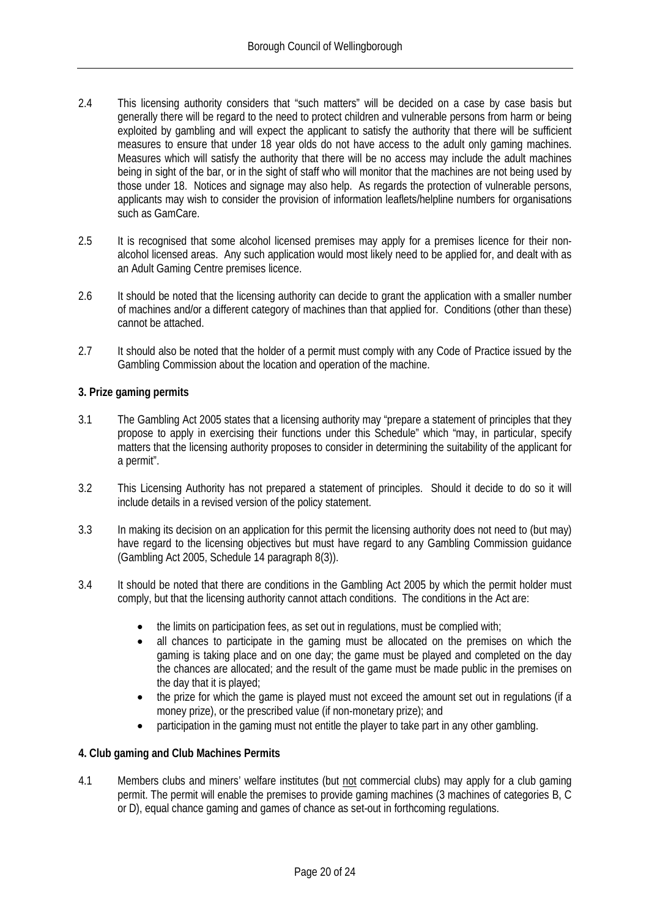- 2.4 This licensing authority considers that "such matters" will be decided on a case by case basis but generally there will be regard to the need to protect children and vulnerable persons from harm or being exploited by gambling and will expect the applicant to satisfy the authority that there will be sufficient measures to ensure that under 18 year olds do not have access to the adult only gaming machines. Measures which will satisfy the authority that there will be no access may include the adult machines being in sight of the bar, or in the sight of staff who will monitor that the machines are not being used by those under 18. Notices and signage may also help. As regards the protection of vulnerable persons, applicants may wish to consider the provision of information leaflets/helpline numbers for organisations such as GamCare.
- 2.5 It is recognised that some alcohol licensed premises may apply for a premises licence for their nonalcohol licensed areas. Any such application would most likely need to be applied for, and dealt with as an Adult Gaming Centre premises licence.
- 2.6 It should be noted that the licensing authority can decide to grant the application with a smaller number of machines and/or a different category of machines than that applied for. Conditions (other than these) cannot be attached.
- 2.7 It should also be noted that the holder of a permit must comply with any Code of Practice issued by the Gambling Commission about the location and operation of the machine.

#### <span id="page-23-0"></span>**3. Prize gaming permits**

- 3.1 The Gambling Act 2005 states that a licensing authority may "prepare a statement of principles that they propose to apply in exercising their functions under this Schedule" which "may, in particular, specify matters that the licensing authority proposes to consider in determining the suitability of the applicant for a permit".
- 3.2 This Licensing Authority has not prepared a statement of principles. Should it decide to do so it will include details in a revised version of the policy statement.
- 3.3 In making its decision on an application for this permit the licensing authority does not need to (but may) have regard to the licensing objectives but must have regard to any Gambling Commission guidance (Gambling Act 2005, Schedule 14 paragraph 8(3)).
- 3.4 It should be noted that there are conditions in the Gambling Act 2005 by which the permit holder must comply, but that the licensing authority cannot attach conditions. The conditions in the Act are:
	- the limits on participation fees, as set out in regulations, must be complied with;
	- all chances to participate in the gaming must be allocated on the premises on which the gaming is taking place and on one day; the game must be played and completed on the day the chances are allocated; and the result of the game must be made public in the premises on the day that it is played;
	- the prize for which the game is played must not exceed the amount set out in regulations (if a money prize), or the prescribed value (if non-monetary prize); and
	- participation in the gaming must not entitle the player to take part in any other gambling.

#### <span id="page-23-1"></span>**4. Club gaming and Club Machines Permits**

4.1 Members clubs and miners' welfare institutes (but not commercial clubs) may apply for a club gaming permit. The permit will enable the premises to provide gaming machines (3 machines of categories B, C or D), equal chance gaming and games of chance as set-out in forthcoming regulations.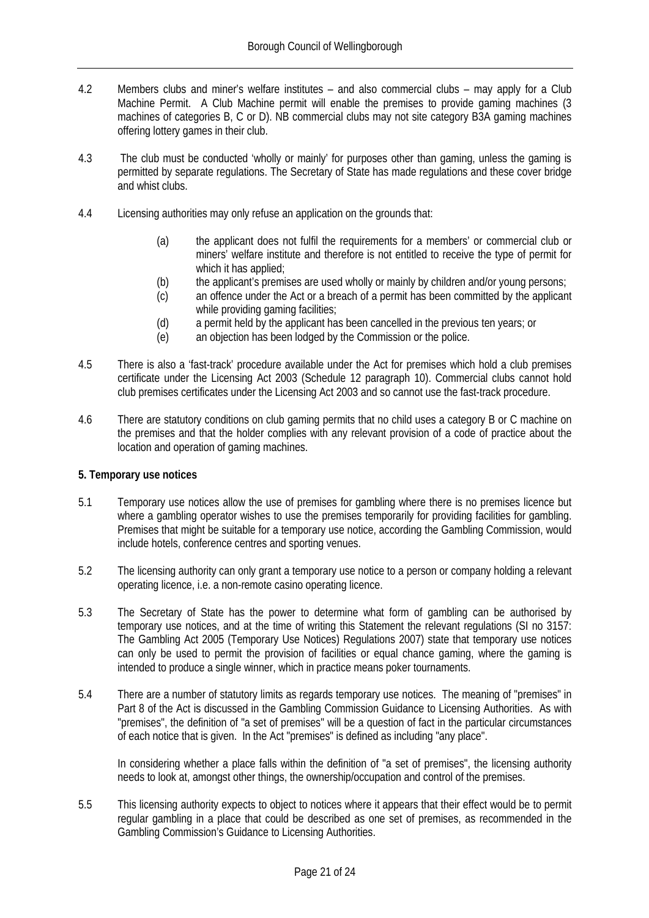- 4.2 Members clubs and miner's welfare institutes and also commercial clubs may apply for a Club Machine Permit. A Club Machine permit will enable the premises to provide gaming machines (3 machines of categories B, C or D). NB commercial clubs may not site category B3A gaming machines offering lottery games in their club.
- 4.3 The club must be conducted 'wholly or mainly' for purposes other than gaming, unless the gaming is permitted by separate regulations. The Secretary of State has made regulations and these cover bridge and whist clubs.
- 4.4 Licensing authorities may only refuse an application on the grounds that:
	- (a) the applicant does not fulfil the requirements for a members' or commercial club or miners' welfare institute and therefore is not entitled to receive the type of permit for which it has applied;
	- (b) the applicant's premises are used wholly or mainly by children and/or young persons;
	- (c) an offence under the Act or a breach of a permit has been committed by the applicant while providing gaming facilities;
	- (d) a permit held by the applicant has been cancelled in the previous ten years; or
	- (e) an objection has been lodged by the Commission or the police.
- 4.5 There is also a 'fast-track' procedure available under the Act for premises which hold a club premises certificate under the Licensing Act 2003 (Schedule 12 paragraph 10). Commercial clubs cannot hold club premises certificates under the Licensing Act 2003 and so cannot use the fast-track procedure.
- 4.6 There are statutory conditions on club gaming permits that no child uses a category B or C machine on the premises and that the holder complies with any relevant provision of a code of practice about the location and operation of gaming machines.

#### <span id="page-24-0"></span>**5. Temporary use notices**

- 5.1 Temporary use notices allow the use of premises for gambling where there is no premises licence but where a gambling operator wishes to use the premises temporarily for providing facilities for gambling. Premises that might be suitable for a temporary use notice, according the Gambling Commission, would include hotels, conference centres and sporting venues.
- 5.2 The licensing authority can only grant a temporary use notice to a person or company holding a relevant operating licence, i.e. a non-remote casino operating licence.
- 5.3 The Secretary of State has the power to determine what form of gambling can be authorised by temporary use notices, and at the time of writing this Statement the relevant regulations (SI no 3157: The Gambling Act 2005 (Temporary Use Notices) Regulations 2007) state that temporary use notices can only be used to permit the provision of facilities or equal chance gaming, where the gaming is intended to produce a single winner, which in practice means poker tournaments.
- 5.4 There are a number of statutory limits as regards temporary use notices. The meaning of "premises" in Part 8 of the Act is discussed in the Gambling Commission Guidance to Licensing Authorities. As with "premises", the definition of "a set of premises" will be a question of fact in the particular circumstances of each notice that is given. In the Act "premises" is defined as including "any place".

In considering whether a place falls within the definition of "a set of premises", the licensing authority needs to look at, amongst other things, the ownership/occupation and control of the premises.

5.5 This licensing authority expects to object to notices where it appears that their effect would be to permit regular gambling in a place that could be described as one set of premises, as recommended in the Gambling Commission's Guidance to Licensing Authorities.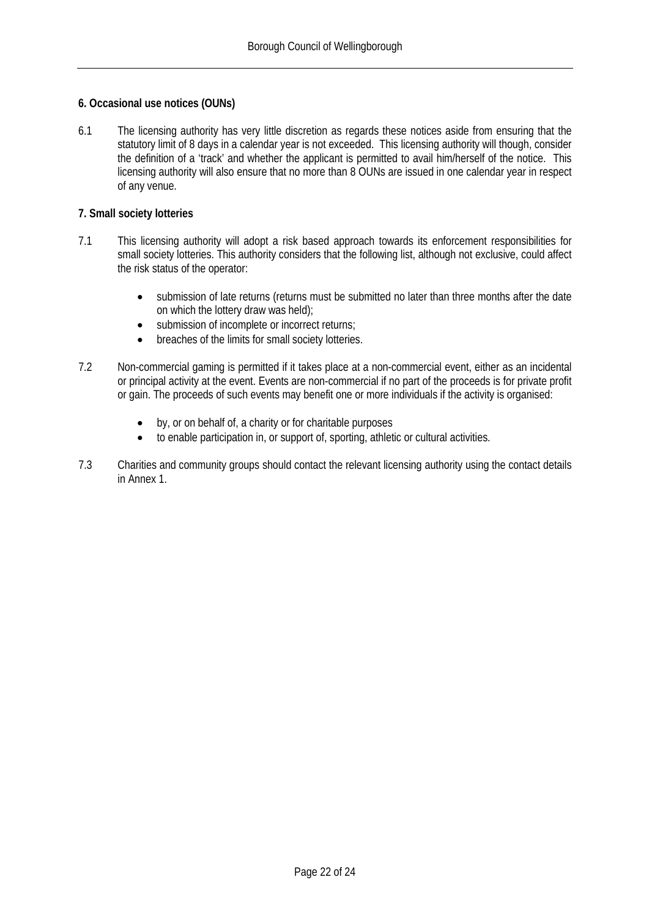#### <span id="page-25-0"></span>**6. Occasional use notices (OUNs)**

6.1 The licensing authority has very little discretion as regards these notices aside from ensuring that the statutory limit of 8 days in a calendar year is not exceeded. This licensing authority will though, consider the definition of a 'track' and whether the applicant is permitted to avail him/herself of the notice. This licensing authority will also ensure that no more than 8 OUNs are issued in one calendar year in respect of any venue.

#### <span id="page-25-1"></span>**7. Small society lotteries**

- 7.1 This licensing authority will adopt a risk based approach towards its enforcement responsibilities for small society lotteries. This authority considers that the following list, although not exclusive, could affect the risk status of the operator:
	- submission of late returns (returns must be submitted no later than three months after the date on which the lottery draw was held);
	- submission of incomplete or incorrect returns;
	- breaches of the limits for small society lotteries.
- 7.2 Non-commercial gaming is permitted if it takes place at a non-commercial event, either as an incidental or principal activity at the event. Events are non-commercial if no part of the proceeds is for private profit or gain. The proceeds of such events may benefit one or more individuals if the activity is organised:
	- by, or on behalf of, a charity or for charitable purposes
	- to enable participation in, or support of, sporting, athletic or cultural activities.
- 7.3 Charities and community groups should contact the relevant licensing authority using the contact details in Annex 1.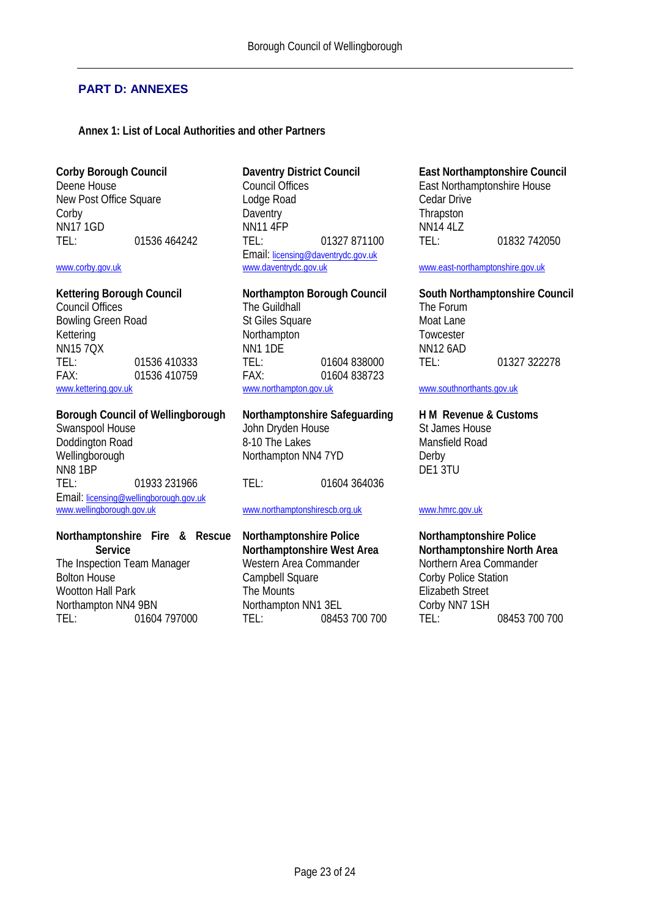#### <span id="page-26-0"></span>**PART D: ANNEXES**

#### <span id="page-26-1"></span>**Annex 1: List of Local Authorities and other Partners**

Doddington Road Wellingborough Northampton NN4 7YD Derby NN8 1BP DE1 3TU TEL: 01933 231966 TEL: 01604 364036 Email: [licensing@wellingborough.gov.uk](mailto:licensing@wellingborough.gov.uk)<br>www.wellingborough.gov.uk

### **Northamptonshire Fire & Rescue**

**Service** The Inspection Team Manager and Western Area Commander and Northern Area Commander Bolton House<br>
Campoell Square Commander Corby Police Station Wootton Hall Park Northampton NN4 9BN Northampton NN1 3EL Corby NN7 1SH TEL: 01604 797000 TEL: 08453 700 700 TEL: 08453 700 700

**Corby Borough Council Daventry District Council East Northamptonshire Council** Council Offices<br>
Lodge Road<br>
Lodge Road<br>
Cedar Drive New Post Office Square **Lodge Road** Cedar Drive Cedar Drive<br>
Corby Corby Corbushing Daventry Corbus Corbus Corbus Chapston Corby **Daventry** Daventry **Daventry Corpus** Thrapston NN17 1GD NN11 4FP NN14 4LZ TEL: 01536 464242 TEL: 01327 871100 TEL: 01832 742050 Email: [licensing@daventrydc.gov.uk](mailto:licensing@daventrydc.gov.uk)<br>www.daventrydc.gov.uk [www.corby.gov.uk](http://www.corby.gov.uk/) [www.daventrydc.gov.uk](http://www.daventrydc.gov.uk/) [www.east-northamptonshire.gov.uk](http://www.east-northamptonshire.gov.uk/)

Council Offices The Guildhall The Guildhall The The Forum Bowling Green Road St Giles Square St Giles Square Moat Lane Kettering **Northampton** Constanting Towcester<br>
Northampton MN11 DF NN11 ON NN12 6AD NN15 7QX NN1 1DE NN1 1DE NN12 6AD TEL: 01536 410333 TEL: 01604 838000 TEL: 01327 322278 FAX: 01604 838723<br>
<u>www.kettering.gov.uk</u> 01536 410759 FAX: 01604 838723

John Dryden House St James House<br>
8-10 The Lakes Mansfield Road

#### [www.northamptonshirescb.org.uk](http://www.northamptonshirescb.org.uk/) [www.hmrc.gov.uk](http://www.hmrc.gov.uk/)

**Northamptonshire Police Northamptonshire West Area** Campbell Square Corby Police Station<br>
The Mounts<br>
Elizabeth Street

## **Kettering Borough Council Northampton Borough Council South Northamptonshire Council**

[www.southnorthants.gov.uk](http://www.southnorthants.gov.uk/)

## **Borough Council of Wellingborough Northamptonshire Safeguarding H M Revenue & Customs**

## **Northamptonshire Police Northamptonshire North Area**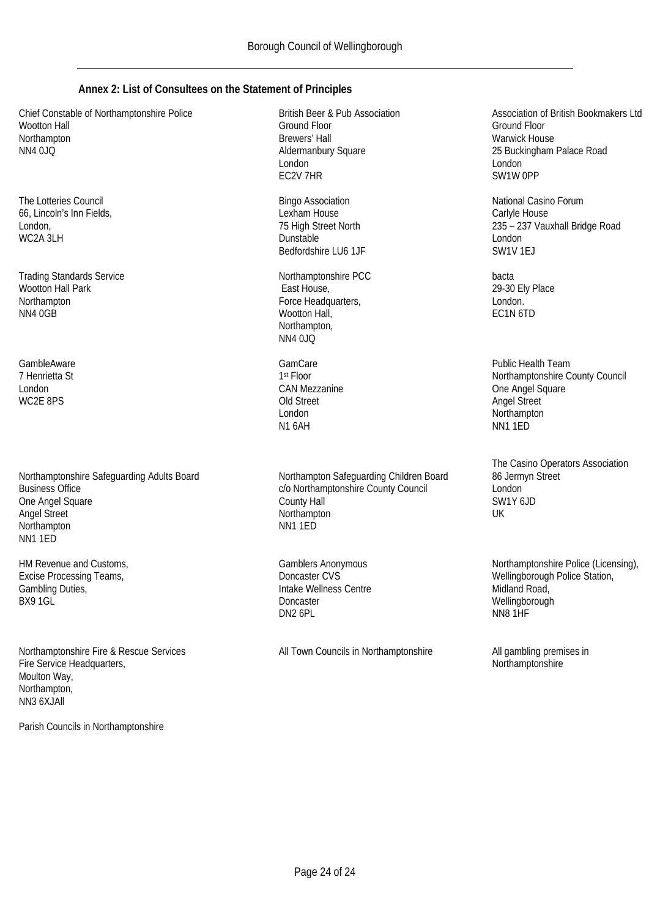#### <span id="page-27-0"></span>**Annex 2: List of Consultees on the Statement of Principles**

Chief Constable of Northamptonshire Police Wootton Hall Northampton NN4 0JQ

The Lotteries Council 66, Lincoln's Inn Fields, London, WC2A 3LH

Trading Standards Service Wootton Hall Park **Northampton** NN4 0GB

**GambleAware** 7 Henrietta St London WC2E 8PS

Northamptonshire Safeguarding Adults Board Business Office One Angel Square Angel Street Northampton NN1 1ED

HM Revenue and Customs, Excise Processing Teams, Gambling Duties, BX9 1GL

Northamptonshire Fire & Rescue Services Fire Service Headquarters, Moulton Way, Northampton, NN3 6XJAll

Parish Councils in Northamptonshire

British Beer & Pub Association Ground Floor Brewers' Hall Aldermanbury Square London EC2V 7HR

Bingo Association Lexham House 75 High Street North Dunstable Bedfordshire LU6 1JF

Northamptonshire PCC East House, Force Headquarters, Wootton Hall, Northampton, NN4 0JQ

**GamCare** 1st Floor CAN Mezzanine Old Street London N1 6AH

Northampton Safeguarding Children Board c/o Northamptonshire County Council County Hall Northampton NN1 1ED

Gamblers Anonymous Doncaster CVS Intake Wellness Centre Doncaster DN2 6PL

All Town Councils in Northamptonshire All gambling premises in

Association of British Bookmakers Ltd Ground Floor Warwick House 25 Buckingham Palace Road London SW1W 0PP

National Casino Forum Carlyle House 235 – 237 Vauxhall Bridge Road London SW1V 1EJ

bacta 29-30 Ely Place London. EC1N 6TD

Public Health Team Northamptonshire County Council One Angel Square Angel Street Northampton NN1 1ED

The Casino Operators Association 86 Jermyn Street London SW1Y 6JD UK

Northamptonshire Police (Licensing), Wellingborough Police Station, Midland Road, Wellingborough NN8 1HF

Northamptonshire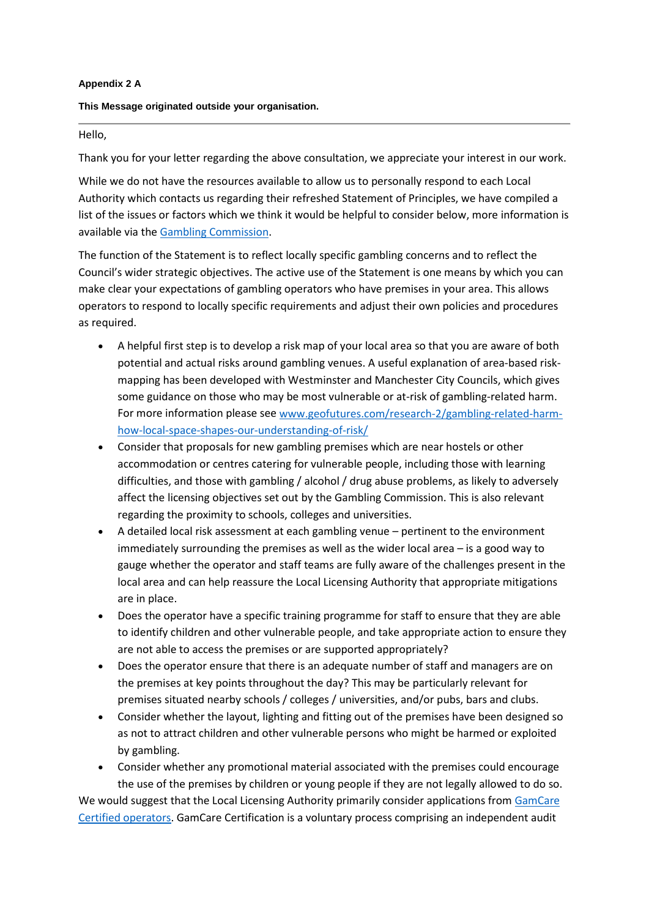#### **Appendix 2 A**

#### **This Message originated outside your organisation.**

#### Hello,

Thank you for your letter regarding the above consultation, we appreciate your interest in our work.

While we do not have the resources available to allow us to personally respond to each Local Authority which contacts us regarding their refreshed Statement of Principles, we have compiled a list of the issues or factors which we think it would be helpful to consider below, more information is available via the [Gambling Commission.](https://protect-eu.mimecast.com/s/q8pGC1jXDHkwVMHmYplg)

The function of the Statement is to reflect locally specific gambling concerns and to reflect the Council's wider strategic objectives. The active use of the Statement is one means by which you can make clear your expectations of gambling operators who have premises in your area. This allows operators to respond to locally specific requirements and adjust their own policies and procedures as required.

- A helpful first step is to develop a risk map of your local area so that you are aware of both potential and actual risks around gambling venues. A useful explanation of area-based riskmapping has been developed with Westminster and Manchester City Councils, which gives some guidance on those who may be most vulnerable or at-risk of gambling-related harm. For more information please see [www.geofutures.com/research-2/gambling-related-harm](https://protect-eu.mimecast.com/s/QMZ1C3lZGUGYnpfjVPfB)[how-local-space-shapes-our-understanding-of-risk/](https://protect-eu.mimecast.com/s/QMZ1C3lZGUGYnpfjVPfB)
- Consider that proposals for new gambling premises which are near hostels or other accommodation or centres catering for vulnerable people, including those with learning difficulties, and those with gambling / alcohol / drug abuse problems, as likely to adversely affect the licensing objectives set out by the Gambling Commission. This is also relevant regarding the proximity to schools, colleges and universities.
- A detailed local risk assessment at each gambling venue pertinent to the environment immediately surrounding the premises as well as the wider local area – is a good way to gauge whether the operator and staff teams are fully aware of the challenges present in the local area and can help reassure the Local Licensing Authority that appropriate mitigations are in place.
- Does the operator have a specific training programme for staff to ensure that they are able to identify children and other vulnerable people, and take appropriate action to ensure they are not able to access the premises or are supported appropriately?
- Does the operator ensure that there is an adequate number of staff and managers are on the premises at key points throughout the day? This may be particularly relevant for premises situated nearby schools / colleges / universities, and/or pubs, bars and clubs.
- Consider whether the layout, lighting and fitting out of the premises have been designed so as not to attract children and other vulnerable persons who might be harmed or exploited by gambling.
- Consider whether any promotional material associated with the premises could encourage the use of the premises by children or young people if they are not legally allowed to do so.

We would suggest that the Local Licensing Authority primarily consider applications from [GamCare](https://protect-eu.mimecast.com/s/xI3MC481JtmAXBfzc8-R)  [Certified operators.](https://protect-eu.mimecast.com/s/xI3MC481JtmAXBfzc8-R) GamCare Certification is a voluntary process comprising an independent audit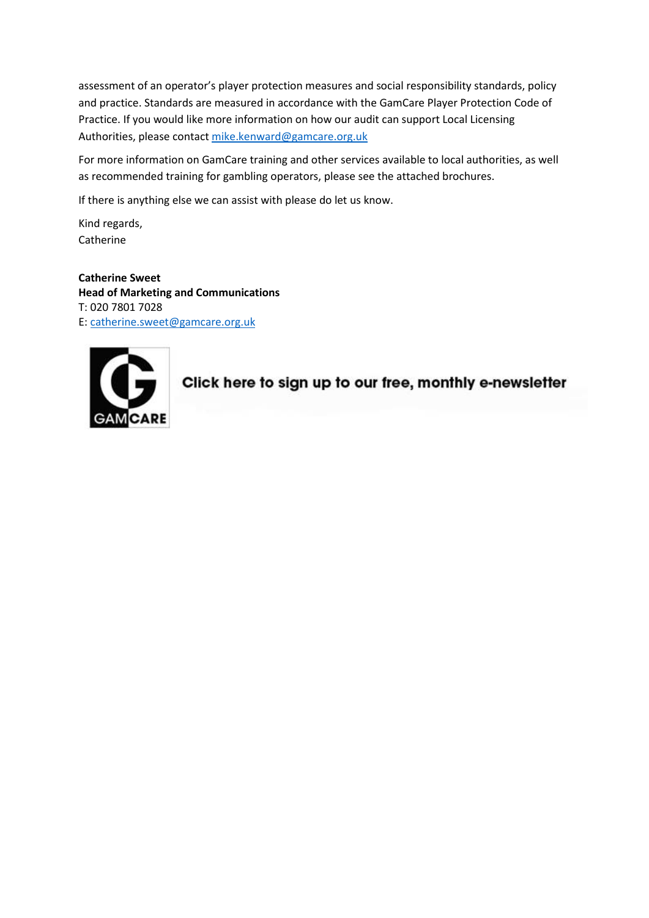assessment of an operator's player protection measures and social responsibility standards, policy and practice. Standards are measured in accordance with the GamCare Player Protection Code of Practice. If you would like more information on how our audit can support Local Licensing Authorities, please contact [mike.kenward@gamcare.org.uk](mailto:mike.kenward@gamcare.org.uk)

For more information on GamCare training and other services available to local authorities, as well as recommended training for gambling operators, please see the attached brochures.

If there is anything else we can assist with please do let us know.

Kind regards, **Catherine** 

**Catherine Sweet Head of Marketing and Communications** T: 020 7801 7028 E: [catherine.sweet@gamcare.org.uk](mailto:catherine.sweet@gamcare.org.uk)



Click here to sign up to our free, monthly e-newsletter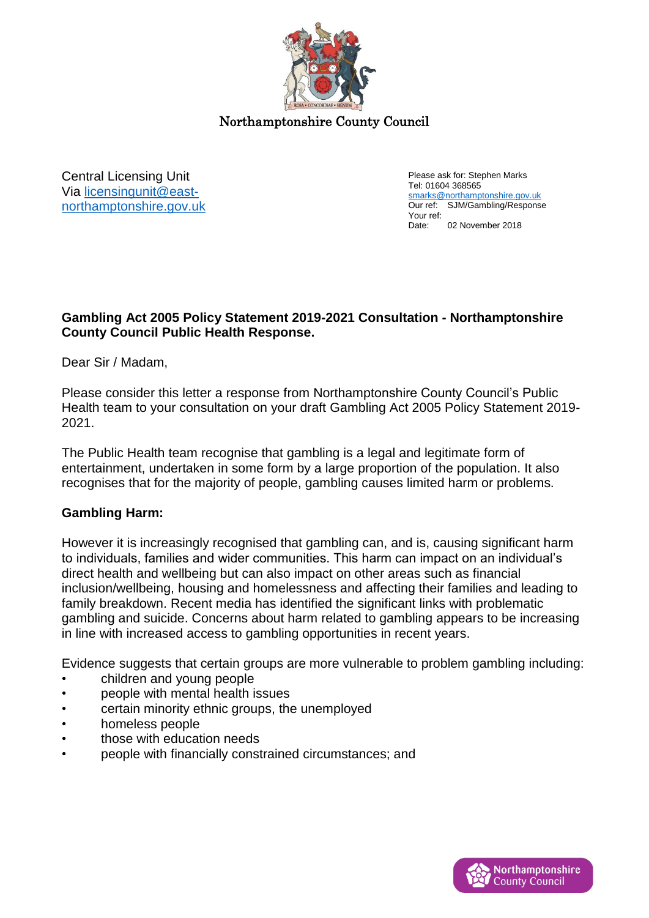

Northamptonshire County Council

Central Licensing Unit Via [licensingunit@east](mailto:licensingunit@east-northamptonshire.gov.uk)[northamptonshire.gov.uk](mailto:licensingunit@east-northamptonshire.gov.uk)  Please ask for: Stephen Marks Tel: 01604 368565 [smarks@northamptonshire.gov.uk](mailto:smarks@northamptonshire.gov.uk) Our ref: SJM/Gambling/Response Your ref:<br>Date: 02 November 2018

#### **Gambling Act 2005 Policy Statement 2019-2021 Consultation - Northamptonshire County Council Public Health Response.**

Dear Sir / Madam,

Please consider this letter a response from Northamptonshire County Council's Public Health team to your consultation on your draft Gambling Act 2005 Policy Statement 2019- 2021.

The Public Health team recognise that gambling is a legal and legitimate form of entertainment, undertaken in some form by a large proportion of the population. It also recognises that for the majority of people, gambling causes limited harm or problems.

### **Gambling Harm:**

However it is increasingly recognised that gambling can, and is, causing significant harm to individuals, families and wider communities. This harm can impact on an individual's direct health and wellbeing but can also impact on other areas such as financial inclusion/wellbeing, housing and homelessness and affecting their families and leading to family breakdown. Recent media has identified the significant links with problematic gambling and suicide. Concerns about harm related to gambling appears to be increasing in line with increased access to gambling opportunities in recent years.

Evidence suggests that certain groups are more vulnerable to problem gambling including:

- children and young people
- people with mental health issues
- certain minority ethnic groups, the unemployed
- homeless people
- those with education needs
- people with financially constrained circumstances; and

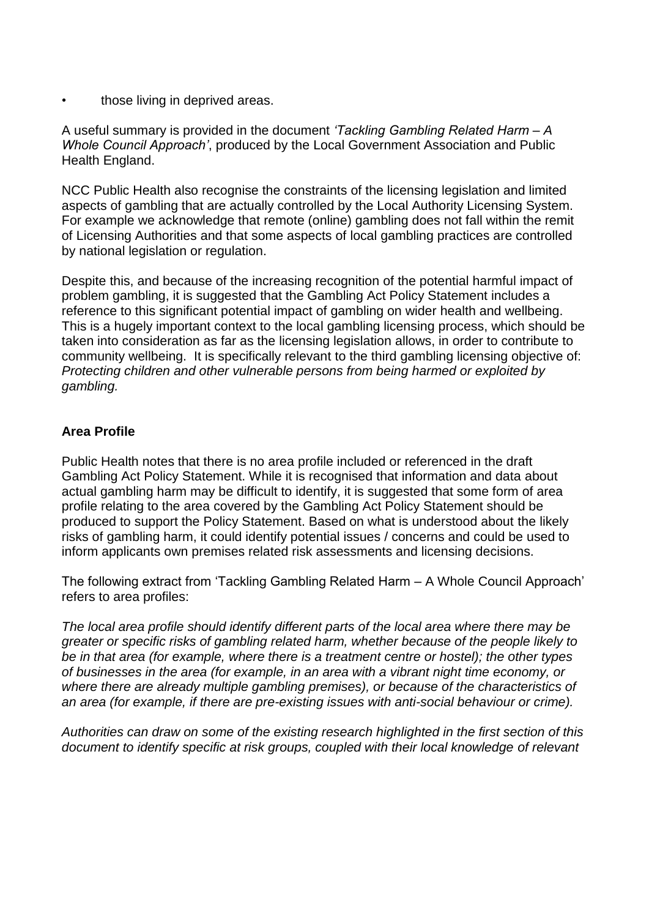those living in deprived areas.

A useful summary is provided in the document *'Tackling Gambling Related Harm – A Whole Council Approach'*, produced by the Local Government Association and Public Health England.

NCC Public Health also recognise the constraints of the licensing legislation and limited aspects of gambling that are actually controlled by the Local Authority Licensing System. For example we acknowledge that remote (online) gambling does not fall within the remit of Licensing Authorities and that some aspects of local gambling practices are controlled by national legislation or regulation.

Despite this, and because of the increasing recognition of the potential harmful impact of problem gambling, it is suggested that the Gambling Act Policy Statement includes a reference to this significant potential impact of gambling on wider health and wellbeing. This is a hugely important context to the local gambling licensing process, which should be taken into consideration as far as the licensing legislation allows, in order to contribute to community wellbeing. It is specifically relevant to the third gambling licensing objective of: *Protecting children and other vulnerable persons from being harmed or exploited by gambling.* 

## **Area Profile**

Public Health notes that there is no area profile included or referenced in the draft Gambling Act Policy Statement. While it is recognised that information and data about actual gambling harm may be difficult to identify, it is suggested that some form of area profile relating to the area covered by the Gambling Act Policy Statement should be produced to support the Policy Statement. Based on what is understood about the likely risks of gambling harm, it could identify potential issues / concerns and could be used to inform applicants own premises related risk assessments and licensing decisions.

The following extract from 'Tackling Gambling Related Harm – A Whole Council Approach' refers to area profiles:

*The local area profile should identify different parts of the local area where there may be greater or specific risks of gambling related harm, whether because of the people likely to be in that area (for example, where there is a treatment centre or hostel); the other types of businesses in the area (for example, in an area with a vibrant night time economy, or where there are already multiple gambling premises), or because of the characteristics of an area (for example, if there are pre-existing issues with anti-social behaviour or crime).* 

*Authorities can draw on some of the existing research highlighted in the first section of this document to identify specific at risk groups, coupled with their local knowledge of relevant*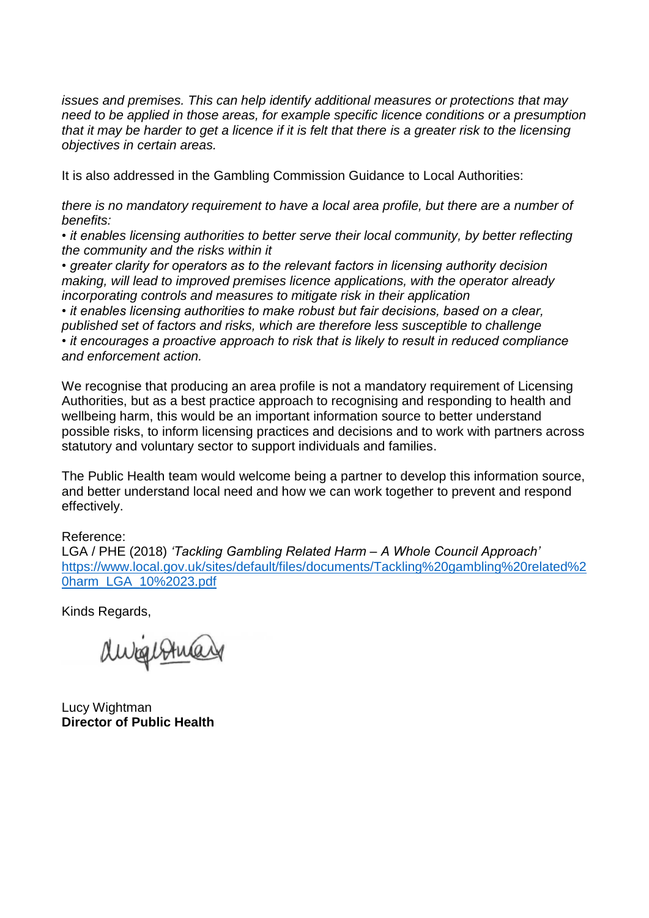*issues and premises. This can help identify additional measures or protections that may need to be applied in those areas, for example specific licence conditions or a presumption that it may be harder to get a licence if it is felt that there is a greater risk to the licensing objectives in certain areas.*

It is also addressed in the Gambling Commission Guidance to Local Authorities:

*there is no mandatory requirement to have a local area profile, but there are a number of benefits:*

*• it enables licensing authorities to better serve their local community, by better reflecting the community and the risks within it*

*• greater clarity for operators as to the relevant factors in licensing authority decision making, will lead to improved premises licence applications, with the operator already incorporating controls and measures to mitigate risk in their application*

*• it enables licensing authorities to make robust but fair decisions, based on a clear, published set of factors and risks, which are therefore less susceptible to challenge • it encourages a proactive approach to risk that is likely to result in reduced compliance and enforcement action.*

We recognise that producing an area profile is not a mandatory requirement of Licensing Authorities, but as a best practice approach to recognising and responding to health and wellbeing harm, this would be an important information source to better understand possible risks, to inform licensing practices and decisions and to work with partners across statutory and voluntary sector to support individuals and families.

The Public Health team would welcome being a partner to develop this information source, and better understand local need and how we can work together to prevent and respond effectively.

Reference:

LGA / PHE (2018) *'Tackling Gambling Related Harm – A Whole Council Approach'* [https://www.local.gov.uk/sites/default/files/documents/Tackling%20gambling%20related%2](https://www.local.gov.uk/sites/default/files/documents/Tackling%20gambling%20related%20harm_LGA_10%2023.pdf) [0harm\\_LGA\\_10%2023.pdf](https://www.local.gov.uk/sites/default/files/documents/Tackling%20gambling%20related%20harm_LGA_10%2023.pdf)

Kinds Regards,

durgestman

Lucy Wightman **Director of Public Health**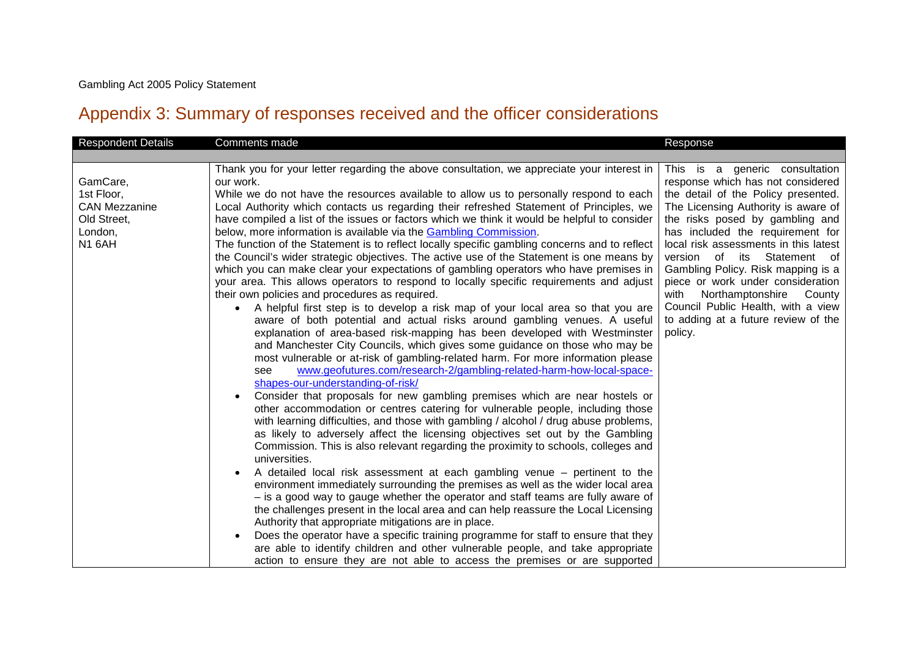## Appendix 3: Summary of responses received and the officer considerations

| <b>Respondent Details</b>                                                                 | Comments made                                                                                                                                                                                                                                                                                                                                                                                                                                                                                                                                                                                                                                                                                                                                                                                                                                                                                                                                                                                                                                                                                                                                                                                                                                                                                                                                                                                                                                                                                                                                                                                                                                                                                                                                                                                                                                                                                                                                                                                                                                                                                                                                                                                                                                                                                                                                                                                                                                                                                                                                                    | Response                                                                                                                                                                                                                                                                                                                                                                                                                                                                                               |
|-------------------------------------------------------------------------------------------|------------------------------------------------------------------------------------------------------------------------------------------------------------------------------------------------------------------------------------------------------------------------------------------------------------------------------------------------------------------------------------------------------------------------------------------------------------------------------------------------------------------------------------------------------------------------------------------------------------------------------------------------------------------------------------------------------------------------------------------------------------------------------------------------------------------------------------------------------------------------------------------------------------------------------------------------------------------------------------------------------------------------------------------------------------------------------------------------------------------------------------------------------------------------------------------------------------------------------------------------------------------------------------------------------------------------------------------------------------------------------------------------------------------------------------------------------------------------------------------------------------------------------------------------------------------------------------------------------------------------------------------------------------------------------------------------------------------------------------------------------------------------------------------------------------------------------------------------------------------------------------------------------------------------------------------------------------------------------------------------------------------------------------------------------------------------------------------------------------------------------------------------------------------------------------------------------------------------------------------------------------------------------------------------------------------------------------------------------------------------------------------------------------------------------------------------------------------------------------------------------------------------------------------------------------------|--------------------------------------------------------------------------------------------------------------------------------------------------------------------------------------------------------------------------------------------------------------------------------------------------------------------------------------------------------------------------------------------------------------------------------------------------------------------------------------------------------|
|                                                                                           |                                                                                                                                                                                                                                                                                                                                                                                                                                                                                                                                                                                                                                                                                                                                                                                                                                                                                                                                                                                                                                                                                                                                                                                                                                                                                                                                                                                                                                                                                                                                                                                                                                                                                                                                                                                                                                                                                                                                                                                                                                                                                                                                                                                                                                                                                                                                                                                                                                                                                                                                                                  |                                                                                                                                                                                                                                                                                                                                                                                                                                                                                                        |
| GamCare,<br>1st Floor,<br><b>CAN Mezzanine</b><br>Old Street,<br>London,<br><b>N1 6AH</b> | Thank you for your letter regarding the above consultation, we appreciate your interest in<br>our work.<br>While we do not have the resources available to allow us to personally respond to each<br>Local Authority which contacts us regarding their refreshed Statement of Principles, we<br>have compiled a list of the issues or factors which we think it would be helpful to consider<br>below, more information is available via the <b>Gambling Commission</b> .<br>The function of the Statement is to reflect locally specific gambling concerns and to reflect<br>the Council's wider strategic objectives. The active use of the Statement is one means by<br>which you can make clear your expectations of gambling operators who have premises in<br>your area. This allows operators to respond to locally specific requirements and adjust<br>their own policies and procedures as required.<br>A helpful first step is to develop a risk map of your local area so that you are<br>aware of both potential and actual risks around gambling venues. A useful<br>explanation of area-based risk-mapping has been developed with Westminster<br>and Manchester City Councils, which gives some guidance on those who may be<br>most vulnerable or at-risk of gambling-related harm. For more information please<br>www.geofutures.com/research-2/gambling-related-harm-how-local-space-<br>see<br>shapes-our-understanding-of-risk/<br>Consider that proposals for new gambling premises which are near hostels or<br>other accommodation or centres catering for vulnerable people, including those<br>with learning difficulties, and those with gambling / alcohol / drug abuse problems,<br>as likely to adversely affect the licensing objectives set out by the Gambling<br>Commission. This is also relevant regarding the proximity to schools, colleges and<br>universities.<br>A detailed local risk assessment at each gambling venue - pertinent to the<br>environment immediately surrounding the premises as well as the wider local area<br>- is a good way to gauge whether the operator and staff teams are fully aware of<br>the challenges present in the local area and can help reassure the Local Licensing<br>Authority that appropriate mitigations are in place.<br>Does the operator have a specific training programme for staff to ensure that they<br>are able to identify children and other vulnerable people, and take appropriate<br>action to ensure they are not able to access the premises or are supported | This is a generic consultation<br>response which has not considered<br>the detail of the Policy presented.<br>The Licensing Authority is aware of<br>the risks posed by gambling and<br>has included the requirement for<br>local risk assessments in this latest<br>version of its Statement of<br>Gambling Policy. Risk mapping is a<br>piece or work under consideration<br>Northamptonshire County<br>with<br>Council Public Health, with a view<br>to adding at a future review of the<br>policy. |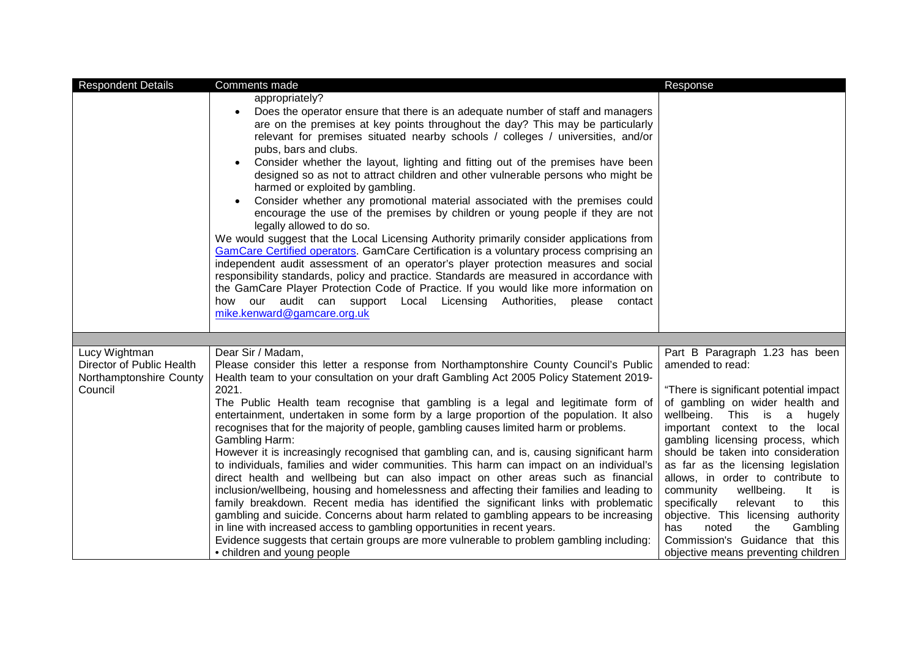| <b>Respondent Details</b>                                                        | Comments made                                                                                                                                                                                                                                                                                                                                                                                                                                                                                                                                                                                                                                                                                                                                                                                                                                                                                                                                                                                                                                                                                                                                                                                                                                                                       | Response                                                                                                                                                                                                                                                                                                                                                                                                                                                                                                                                                                                              |
|----------------------------------------------------------------------------------|-------------------------------------------------------------------------------------------------------------------------------------------------------------------------------------------------------------------------------------------------------------------------------------------------------------------------------------------------------------------------------------------------------------------------------------------------------------------------------------------------------------------------------------------------------------------------------------------------------------------------------------------------------------------------------------------------------------------------------------------------------------------------------------------------------------------------------------------------------------------------------------------------------------------------------------------------------------------------------------------------------------------------------------------------------------------------------------------------------------------------------------------------------------------------------------------------------------------------------------------------------------------------------------|-------------------------------------------------------------------------------------------------------------------------------------------------------------------------------------------------------------------------------------------------------------------------------------------------------------------------------------------------------------------------------------------------------------------------------------------------------------------------------------------------------------------------------------------------------------------------------------------------------|
|                                                                                  | appropriately?<br>Does the operator ensure that there is an adequate number of staff and managers<br>are on the premises at key points throughout the day? This may be particularly<br>relevant for premises situated nearby schools / colleges / universities, and/or<br>pubs, bars and clubs.<br>Consider whether the layout, lighting and fitting out of the premises have been<br>designed so as not to attract children and other vulnerable persons who might be<br>harmed or exploited by gambling.<br>Consider whether any promotional material associated with the premises could<br>encourage the use of the premises by children or young people if they are not<br>legally allowed to do so.<br>We would suggest that the Local Licensing Authority primarily consider applications from<br>GamCare Certified operators. GamCare Certification is a voluntary process comprising an<br>independent audit assessment of an operator's player protection measures and social<br>responsibility standards, policy and practice. Standards are measured in accordance with<br>the GamCare Player Protection Code of Practice. If you would like more information on<br>how our audit can support Local Licensing Authorities, please contact<br>mike.kenward@gamcare.org.uk |                                                                                                                                                                                                                                                                                                                                                                                                                                                                                                                                                                                                       |
|                                                                                  |                                                                                                                                                                                                                                                                                                                                                                                                                                                                                                                                                                                                                                                                                                                                                                                                                                                                                                                                                                                                                                                                                                                                                                                                                                                                                     |                                                                                                                                                                                                                                                                                                                                                                                                                                                                                                                                                                                                       |
| Lucy Wightman<br>Director of Public Health<br>Northamptonshire County<br>Council | Dear Sir / Madam,<br>Please consider this letter a response from Northamptonshire County Council's Public<br>Health team to your consultation on your draft Gambling Act 2005 Policy Statement 2019-<br>2021.<br>The Public Health team recognise that gambling is a legal and legitimate form of<br>entertainment, undertaken in some form by a large proportion of the population. It also<br>recognises that for the majority of people, gambling causes limited harm or problems.<br>Gambling Harm:<br>However it is increasingly recognised that gambling can, and is, causing significant harm<br>to individuals, families and wider communities. This harm can impact on an individual's<br>direct health and wellbeing but can also impact on other areas such as financial<br>inclusion/wellbeing, housing and homelessness and affecting their families and leading to<br>family breakdown. Recent media has identified the significant links with problematic<br>gambling and suicide. Concerns about harm related to gambling appears to be increasing<br>in line with increased access to gambling opportunities in recent years.<br>Evidence suggests that certain groups are more vulnerable to problem gambling including:<br>• children and young people           | Part B Paragraph 1.23 has been<br>amended to read:<br>"There is significant potential impact<br>of gambling on wider health and<br>wellbeing.<br>This is<br>a<br>hugely<br>important context to the local<br>gambling licensing process, which<br>should be taken into consideration<br>as far as the licensing legislation<br>allows, in order to contribute to<br>It<br>community<br>wellbeing.<br>is<br>specifically<br>relevant<br>to<br>this<br>objective. This licensing authority<br>the<br>has<br>noted<br>Gambling<br>Commission's Guidance that this<br>objective means preventing children |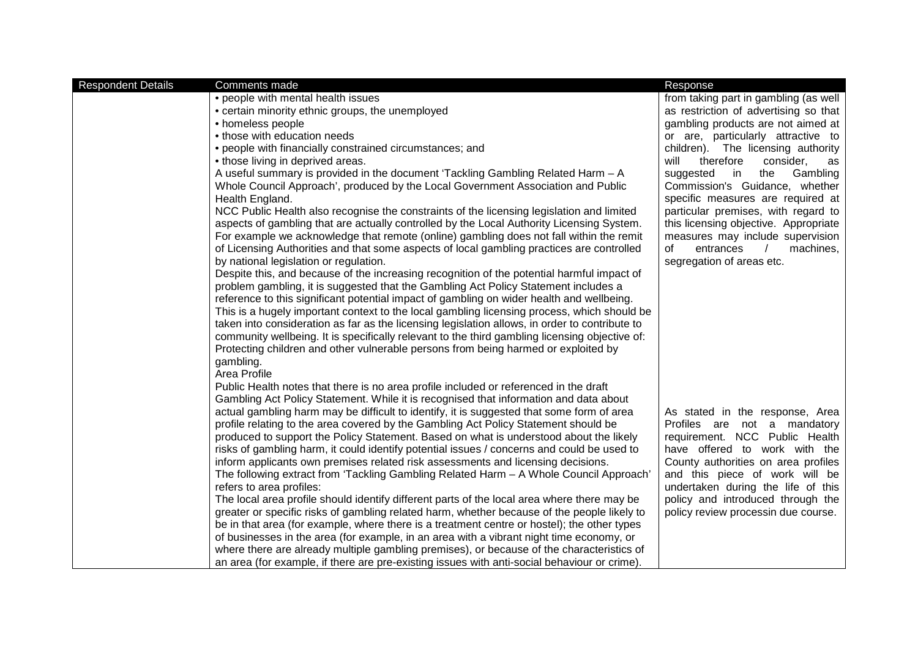| <b>Respondent Details</b> | Comments made                                                                                                                                                                 | Response                                                       |
|---------------------------|-------------------------------------------------------------------------------------------------------------------------------------------------------------------------------|----------------------------------------------------------------|
|                           | • people with mental health issues                                                                                                                                            | from taking part in gambling (as well                          |
|                           | • certain minority ethnic groups, the unemployed                                                                                                                              | as restriction of advertising so that                          |
|                           | • homeless people                                                                                                                                                             | gambling products are not aimed at                             |
|                           | • those with education needs                                                                                                                                                  | or are, particularly attractive to                             |
|                           | • people with financially constrained circumstances; and                                                                                                                      | children). The licensing authority                             |
|                           | • those living in deprived areas.                                                                                                                                             | therefore<br>will<br>consider,<br>as                           |
|                           | A useful summary is provided in the document 'Tackling Gambling Related Harm - A                                                                                              | suggested<br>$\mathsf{in}$<br>the<br>Gambling                  |
|                           | Whole Council Approach', produced by the Local Government Association and Public                                                                                              | Commission's Guidance, whether                                 |
|                           | Health England.                                                                                                                                                               | specific measures are required at                              |
|                           | NCC Public Health also recognise the constraints of the licensing legislation and limited                                                                                     | particular premises, with regard to                            |
|                           | aspects of gambling that are actually controlled by the Local Authority Licensing System.                                                                                     | this licensing objective. Appropriate                          |
|                           | For example we acknowledge that remote (online) gambling does not fall within the remit                                                                                       | measures may include supervision                               |
|                           | of Licensing Authorities and that some aspects of local gambling practices are controlled                                                                                     | 0f<br>entrances<br>machines,                                   |
|                           | by national legislation or regulation.                                                                                                                                        | segregation of areas etc.                                      |
|                           | Despite this, and because of the increasing recognition of the potential harmful impact of                                                                                    |                                                                |
|                           | problem gambling, it is suggested that the Gambling Act Policy Statement includes a                                                                                           |                                                                |
|                           | reference to this significant potential impact of gambling on wider health and wellbeing.                                                                                     |                                                                |
|                           | This is a hugely important context to the local gambling licensing process, which should be                                                                                   |                                                                |
|                           | taken into consideration as far as the licensing legislation allows, in order to contribute to                                                                                |                                                                |
|                           | community wellbeing. It is specifically relevant to the third gambling licensing objective of:                                                                                |                                                                |
|                           | Protecting children and other vulnerable persons from being harmed or exploited by                                                                                            |                                                                |
|                           | gambling.                                                                                                                                                                     |                                                                |
|                           | Area Profile                                                                                                                                                                  |                                                                |
|                           | Public Health notes that there is no area profile included or referenced in the draft                                                                                         |                                                                |
|                           | Gambling Act Policy Statement. While it is recognised that information and data about                                                                                         |                                                                |
|                           | actual gambling harm may be difficult to identify, it is suggested that some form of area                                                                                     | As stated in the response, Area                                |
|                           | profile relating to the area covered by the Gambling Act Policy Statement should be<br>produced to support the Policy Statement. Based on what is understood about the likely | Profiles are not a mandatory<br>requirement. NCC Public Health |
|                           | risks of gambling harm, it could identify potential issues / concerns and could be used to                                                                                    | have offered to work with the                                  |
|                           | inform applicants own premises related risk assessments and licensing decisions.                                                                                              | County authorities on area profiles                            |
|                           | The following extract from 'Tackling Gambling Related Harm - A Whole Council Approach'                                                                                        | and this piece of work will be                                 |
|                           | refers to area profiles:                                                                                                                                                      | undertaken during the life of this                             |
|                           | The local area profile should identify different parts of the local area where there may be                                                                                   | policy and introduced through the                              |
|                           | greater or specific risks of gambling related harm, whether because of the people likely to                                                                                   | policy review processin due course.                            |
|                           | be in that area (for example, where there is a treatment centre or hostel); the other types                                                                                   |                                                                |
|                           | of businesses in the area (for example, in an area with a vibrant night time economy, or                                                                                      |                                                                |
|                           | where there are already multiple gambling premises), or because of the characteristics of                                                                                     |                                                                |
|                           | an area (for example, if there are pre-existing issues with anti-social behaviour or crime).                                                                                  |                                                                |